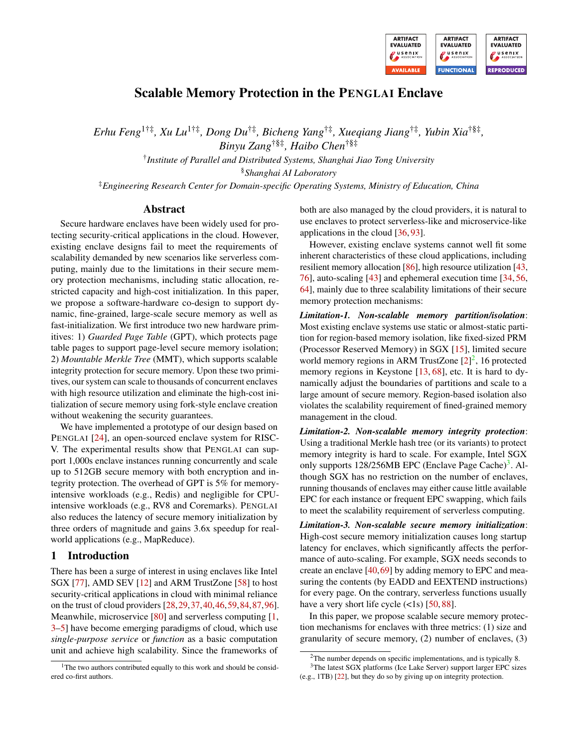

# Scalable Memory Protection in the PENGLAI Enclave

*Erhu Feng*1†‡*, Xu Lu*1†‡*, Dong Du*†‡*, Bicheng Yang*†‡*, Xueqiang Jiang*†‡*, Yubin Xia*†§‡ *,*

*Binyu Zang*†§‡*, Haibo Chen*†§‡

† *Institute of Parallel and Distributed Systems, Shanghai Jiao Tong University*

§*Shanghai AI Laboratory*

‡*Engineering Research Center for Domain-specific Operating Systems, Ministry of Education, China*

#### Abstract

Secure hardware enclaves have been widely used for protecting security-critical applications in the cloud. However, existing enclave designs fail to meet the requirements of scalability demanded by new scenarios like serverless computing, mainly due to the limitations in their secure memory protection mechanisms, including static allocation, restricted capacity and high-cost initialization. In this paper, we propose a software-hardware co-design to support dynamic, fine-grained, large-scale secure memory as well as fast-initialization. We first introduce two new hardware primitives: 1) *Guarded Page Table* (GPT), which protects page table pages to support page-level secure memory isolation; 2) *Mountable Merkle Tree* (MMT), which supports scalable integrity protection for secure memory. Upon these two primitives, our system can scale to thousands of concurrent enclaves with high resource utilization and eliminate the high-cost initialization of secure memory using fork-style enclave creation without weakening the security guarantees.

We have implemented a prototype of our design based on PENGLAI [\[24\]](#page-14-0), an open-sourced enclave system for RISC-V. The experimental results show that PENGLAI can support 1,000s enclave instances running concurrently and scale up to 512GB secure memory with both encryption and integrity protection. The overhead of GPT is 5% for memoryintensive workloads (e.g., Redis) and negligible for CPUintensive workloads (e.g., RV8 and Coremarks). PENGLAI also reduces the latency of secure memory initialization by three orders of magnitude and gains 3.6x speedup for realworld applications (e.g., MapReduce).

#### 1 Introduction

There has been a surge of interest in using enclaves like Intel SGX [\[77\]](#page-17-0), AMD SEV [\[12\]](#page-14-1) and ARM TrustZone [\[58\]](#page-16-0) to host security-critical applications in cloud with minimal reliance on the trust of cloud providers [\[28,](#page-14-2)[29,](#page-15-0)[37,](#page-15-1)[40,](#page-15-2)[46,](#page-15-3)[59,](#page-16-1)[84,](#page-17-1)[87,](#page-17-2)[96\]](#page-18-0). Meanwhile, microservice [\[80\]](#page-17-3) and serverless computing [\[1,](#page-14-3) [3](#page-14-4)[–5\]](#page-14-5) have become emerging paradigms of cloud, which use *single-purpose service* or *function* as a basic computation unit and achieve high scalability. Since the frameworks of

both are also managed by the cloud providers, it is natural to use enclaves to protect serverless-like and microservice-like applications in the cloud [\[36,](#page-15-4) [93\]](#page-18-1).

However, existing enclave systems cannot well fit some inherent characteristics of these cloud applications, including resilient memory allocation [\[86\]](#page-17-4), high resource utilization [\[43,](#page-15-5) [76\]](#page-17-5), auto-scaling [\[43\]](#page-15-5) and ephemeral execution time [\[34,](#page-15-6) [56,](#page-16-2) [64\]](#page-16-3), mainly due to three scalability limitations of their secure memory protection mechanisms:

*Limitation-1. Non-scalable memory partition/isolation*: Most existing enclave systems use static or almost-static partition for region-based memory isolation, like fixed-sized PRM (Processor Reserved Memory) in SGX [\[15\]](#page-14-6), limited secure world memory regions in ARM TrustZone  $[2]^2$  $[2]^2$  $[2]^2$ , 16 protected memory regions in Keystone [\[13,](#page-14-8) [68\]](#page-17-6), etc. It is hard to dynamically adjust the boundaries of partitions and scale to a large amount of secure memory. Region-based isolation also violates the scalability requirement of fined-grained memory management in the cloud.

*Limitation-2. Non-scalable memory integrity protection*: Using a traditional Merkle hash tree (or its variants) to protect memory integrity is hard to scale. For example, Intel SGX only supports 128/256MB EPC (Enclave Page Cache)<sup>[3](#page-0-1)</sup>. Although SGX has no restriction on the number of enclaves, running thousands of enclaves may either cause little available EPC for each instance or frequent EPC swapping, which fails to meet the scalability requirement of serverless computing.

*Limitation-3. Non-scalable secure memory initialization*: High-cost secure memory initialization causes long startup latency for enclaves, which significantly affects the performance of auto-scaling. For example, SGX needs seconds to create an enclave [\[40,](#page-15-2)[69\]](#page-17-7) by adding memory to EPC and measuring the contents (by EADD and EEXTEND instructions) for every page. On the contrary, serverless functions usually have a very short life cycle  $(\langle 1s \rangle)$  [\[50,](#page-16-4)[88\]](#page-18-2).

In this paper, we propose scalable secure memory protection mechanisms for enclaves with three metrics: (1) size and granularity of secure memory, (2) number of enclaves, (3)

 $1$ <sup>1</sup>The two authors contributed equally to this work and should be considered co-first authors.

<span id="page-0-1"></span><span id="page-0-0"></span> $2$ The number depends on specific implementations, and is typically 8.

<sup>&</sup>lt;sup>3</sup>The latest SGX platforms (Ice Lake Server) support larger EPC sizes (e.g., 1TB) [\[22\]](#page-14-9), but they do so by giving up on integrity protection.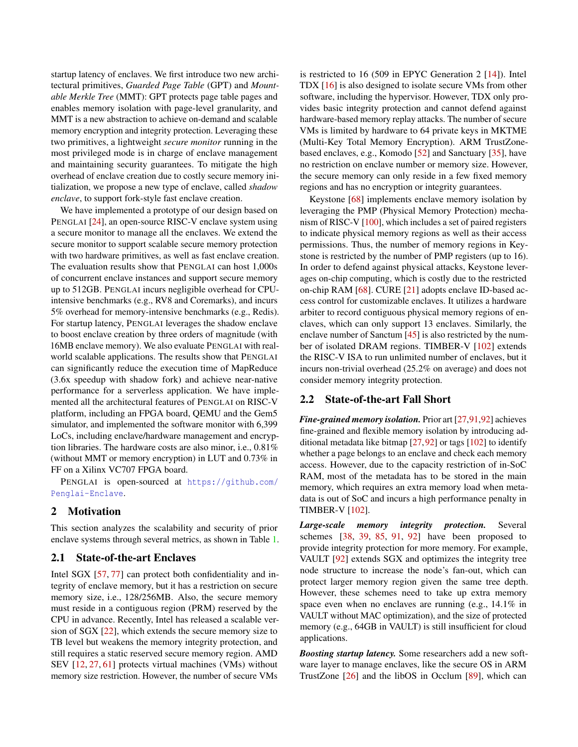startup latency of enclaves. We first introduce two new architectural primitives, *Guarded Page Table* (GPT) and *Mountable Merkle Tree* (MMT): GPT protects page table pages and enables memory isolation with page-level granularity, and MMT is a new abstraction to achieve on-demand and scalable memory encryption and integrity protection. Leveraging these two primitives, a lightweight *secure monitor* running in the most privileged mode is in charge of enclave management and maintaining security guarantees. To mitigate the high overhead of enclave creation due to costly secure memory initialization, we propose a new type of enclave, called *shadow enclave*, to support fork-style fast enclave creation.

We have implemented a prototype of our design based on PENGLAI [\[24\]](#page-14-0), an open-source RISC-V enclave system using a secure monitor to manage all the enclaves. We extend the secure monitor to support scalable secure memory protection with two hardware primitives, as well as fast enclave creation. The evaluation results show that PENGLAI can host 1,000s of concurrent enclave instances and support secure memory up to 512GB. PENGLAI incurs negligible overhead for CPUintensive benchmarks (e.g., RV8 and Coremarks), and incurs 5% overhead for memory-intensive benchmarks (e.g., Redis). For startup latency, PENGLAI leverages the shadow enclave to boost enclave creation by three orders of magnitude (with 16MB enclave memory). We also evaluate PENGLAI with realworld scalable applications. The results show that PENGLAI can significantly reduce the execution time of MapReduce (3.6x speedup with shadow fork) and achieve near-native performance for a serverless application. We have implemented all the architectural features of PENGLAI on RISC-V platform, including an FPGA board, QEMU and the Gem5 simulator, and implemented the software monitor with 6,399 LoCs, including enclave/hardware management and encryption libraries. The hardware costs are also minor, i.e., 0.81% (without MMT or memory encryption) in LUT and 0.73% in FF on a Xilinx VC707 FPGA board.

PENGLAI is open-sourced at [https://github.com/](https://github.com/Penglai-Enclave) [Penglai-Enclave](https://github.com/Penglai-Enclave).

#### 2 Motivation

This section analyzes the scalability and security of prior enclave systems through several metrics, as shown in Table [1.](#page-2-0)

#### 2.1 State-of-the-art Enclaves

Intel SGX [\[57,](#page-16-5) [77\]](#page-17-0) can protect both confidentiality and integrity of enclave memory, but it has a restriction on secure memory size, i.e., 128/256MB. Also, the secure memory must reside in a contiguous region (PRM) reserved by the CPU in advance. Recently, Intel has released a scalable version of SGX [\[22\]](#page-14-9), which extends the secure memory size to TB level but weakens the memory integrity protection, and still requires a static reserved secure memory region. AMD SEV [\[12,](#page-14-1) [27,](#page-14-10) [61\]](#page-16-6) protects virtual machines (VMs) without memory size restriction. However, the number of secure VMs

is restricted to 16 (509 in EPYC Generation 2 [\[14\]](#page-14-11)). Intel TDX [\[16\]](#page-14-12) is also designed to isolate secure VMs from other software, including the hypervisor. However, TDX only provides basic integrity protection and cannot defend against hardware-based memory replay attacks. The number of secure VMs is limited by hardware to 64 private keys in MKTME (Multi-Key Total Memory Encryption). ARM TrustZonebased enclaves, e.g., Komodo [\[52\]](#page-16-7) and Sanctuary [\[35\]](#page-15-7), have no restriction on enclave number or memory size. However, the secure memory can only reside in a few fixed memory regions and has no encryption or integrity guarantees.

Keystone [\[68\]](#page-17-6) implements enclave memory isolation by leveraging the PMP (Physical Memory Protection) mechanism of RISC-V [\[100\]](#page-18-3), which includes a set of paired registers to indicate physical memory regions as well as their access permissions. Thus, the number of memory regions in Keystone is restricted by the number of PMP registers (up to 16). In order to defend against physical attacks, Keystone leverages on-chip computing, which is costly due to the restricted on-chip RAM [\[68\]](#page-17-6). CURE [\[21\]](#page-14-13) adopts enclave ID-based access control for customizable enclaves. It utilizes a hardware arbiter to record contiguous physical memory regions of enclaves, which can only support 13 enclaves. Similarly, the enclave number of Sanctum [\[45\]](#page-15-8) is also restricted by the number of isolated DRAM regions. TIMBER-V [\[102\]](#page-18-4) extends the RISC-V ISA to run unlimited number of enclaves, but it incurs non-trivial overhead (25.2% on average) and does not consider memory integrity protection.

### 2.2 State-of-the-art Fall Short

*Fine-grained memory isolation.* Prior art [\[27](#page-14-10)[,91,](#page-18-5)[92\]](#page-18-6) achieves fine-grained and flexible memory isolation by introducing additional metadata like bitmap  $[27, 92]$  $[27, 92]$  $[27, 92]$  or tags  $[102]$  to identify whether a page belongs to an enclave and check each memory access. However, due to the capacity restriction of in-SoC RAM, most of the metadata has to be stored in the main memory, which requires an extra memory load when metadata is out of SoC and incurs a high performance penalty in TIMBER-V [\[102\]](#page-18-4).

*Large-scale memory integrity protection.* Several schemes [\[38,](#page-15-9) [39,](#page-15-10) [85,](#page-17-8) [91,](#page-18-5) [92\]](#page-18-6) have been proposed to provide integrity protection for more memory. For example, VAULT [\[92\]](#page-18-6) extends SGX and optimizes the integrity tree node structure to increase the node's fan-out, which can protect larger memory region given the same tree depth. However, these schemes need to take up extra memory space even when no enclaves are running (e.g., 14.1% in VAULT without MAC optimization), and the size of protected memory (e.g., 64GB in VAULT) is still insufficient for cloud applications.

*Boosting startup latency.* Some researchers add a new software layer to manage enclaves, like the secure OS in ARM TrustZone [\[26\]](#page-14-14) and the libOS in Occlum [\[89\]](#page-18-7), which can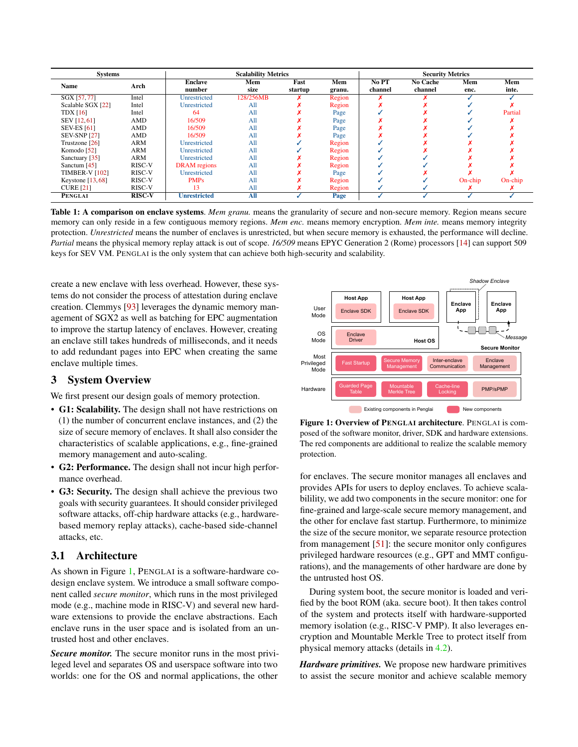<span id="page-2-0"></span>

| <b>Systems</b>        |               | <b>Scalability Metrics</b> |                 |                 |               | <b>Security Metrics</b> |                            |             |              |
|-----------------------|---------------|----------------------------|-----------------|-----------------|---------------|-------------------------|----------------------------|-------------|--------------|
| <b>Name</b>           | Arch          | <b>Enclave</b><br>number   | Mem<br>size     | Fast<br>startup | Mem<br>granu. | No PT<br>channel        | <b>No Cache</b><br>channel | Mem<br>enc. | Mem<br>inte. |
| SGX [57,77]           | Intel         | Unrestricted               | 128/256MB       |                 | Region        |                         |                            |             |              |
| Scalable SGX [22]     | Intel         | Unrestricted               | A11             |                 | Region        |                         |                            |             |              |
| <b>TDX</b> [16]       | Intel         | 64                         | A11             |                 | Page          |                         |                            |             | Partial      |
| SEV [12, 61]          | <b>AMD</b>    | 16/509                     | All             |                 | Page          |                         |                            |             |              |
| <b>SEV-ES [61]</b>    | AMD           | 16/509                     | A11             |                 | Page          |                         |                            |             |              |
| <b>SEV-SNP [27]</b>   | AMD           | 16/509                     | A11             |                 | Page          |                         |                            |             |              |
| Trustzone [26]        | <b>ARM</b>    | Unrestricted               | A11             |                 | Region        |                         |                            |             |              |
| Komodo [52]           | <b>ARM</b>    | Unrestricted               | A11             |                 | Region        |                         |                            |             |              |
| Sanctuary [35]        | ARM           | Unrestricted               | A11             |                 | Region        |                         |                            |             |              |
| Sanctum [45]          | RISC-V        | <b>DRAM</b> regions        | All             |                 | Region        |                         |                            |             |              |
| <b>TIMBER-V [102]</b> | RISC-V        | Unrestricted               | A11             |                 | Page          |                         |                            |             |              |
| Keystone $[13, 68]$   | RISC-V        | <b>PMPs</b>                | A11             |                 | Region        |                         |                            | $On-chip$   | $On-chip$    |
| <b>CURE [21]</b>      | RISC-V        | 13                         | A11             |                 | Region        |                         |                            |             |              |
| <b>PENGLAI</b>        | <b>RISC-V</b> | <b>Unrestricted</b>        | $\mathbf{A}$ ll |                 | Page          |                         |                            |             |              |

Table 1: A comparison on enclave systems. Mem granu. means the granularity of secure and non-secure memory. Region means secure memory can only reside in a few contiguous memory regions. *Mem enc.* means memory encryption. *Mem inte.* means memory integrity protection. *Unrestricted* means the number of enclaves is unrestricted, but when secure memory is exhausted, the performance will decline. *Partial* means the physical memory replay attack is out of scope. *16/509* means EPYC Generation 2 (Rome) processors [\[14\]](#page-14-11) can support 509 keys for SEV VM. PENGLAI is the only system that can achieve both high-security and scalability.

create a new enclave with less overhead. However, these systems do not consider the process of attestation during enclave creation. Clemmys [\[93\]](#page-18-1) leverages the dynamic memory management of SGX2 as well as batching for EPC augmentation to improve the startup latency of enclaves. However, creating an enclave still takes hundreds of milliseconds, and it needs to add redundant pages into EPC when creating the same enclave multiple times.

# 3 System Overview

We first present our design goals of memory protection.

- G1: Scalability. The design shall not have restrictions on (1) the number of concurrent enclave instances, and (2) the size of secure memory of enclaves. It shall also consider the characteristics of scalable applications, e.g., fine-grained memory management and auto-scaling.
- G2: Performance. The design shall not incur high performance overhead.
- G3: Security. The design shall achieve the previous two goals with security guarantees. It should consider privileged software attacks, off-chip hardware attacks (e.g., hardwarebased memory replay attacks), cache-based side-channel attacks, etc.

### 3.1 Architecture

As shown in Figure [1,](#page-2-1) PENGLAI is a software-hardware codesign enclave system. We introduce a small software component called *secure monitor*, which runs in the most privileged mode (e.g., machine mode in RISC-V) and several new hardware extensions to provide the enclave abstractions. Each enclave runs in the user space and is isolated from an untrusted host and other enclaves.

*Secure monitor.* The secure monitor runs in the most privileged level and separates OS and userspace software into two worlds: one for the OS and normal applications, the other

<span id="page-2-1"></span>

Figure 1: Overview of PENGLAI architecture. PENGLAI is composed of the software monitor, driver, SDK and hardware extensions. The red components are additional to realize the scalable memory protection.

for enclaves. The secure monitor manages all enclaves and provides APIs for users to deploy enclaves. To achieve scalabilility, we add two components in the secure monitor: one for fine-grained and large-scale secure memory management, and the other for enclave fast startup. Furthermore, to minimize the size of the secure monitor, we separate resource protection from management [\[51\]](#page-16-8): the secure monitor only configures privileged hardware resources (e.g., GPT and MMT configurations), and the managements of other hardware are done by the untrusted host OS.

During system boot, the secure monitor is loaded and verified by the boot ROM (aka. secure boot). It then takes control of the system and protects itself with hardware-supported memory isolation (e.g., RISC-V PMP). It also leverages encryption and Mountable Merkle Tree to protect itself from physical memory attacks (details in [4.2\)](#page-4-0).

*Hardware primitives.* We propose new hardware primitives to assist the secure monitor and achieve scalable memory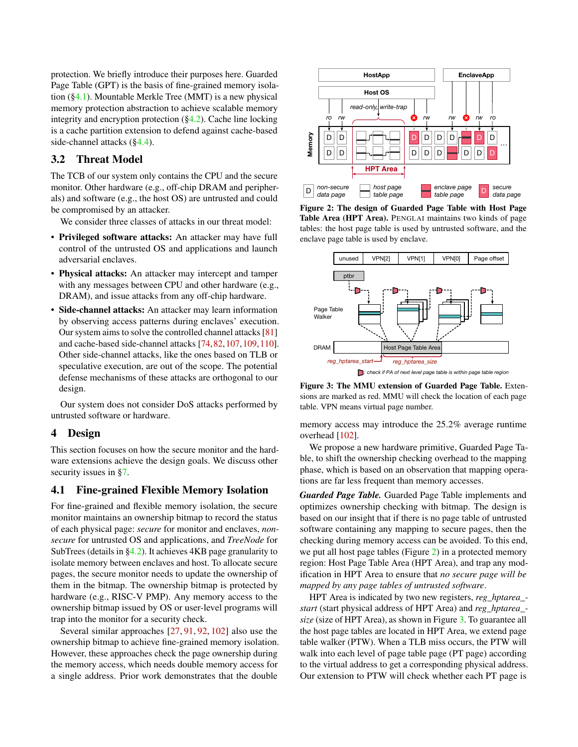protection. We briefly introduce their purposes here. Guarded Page Table (GPT) is the basis of fine-grained memory isolation ([§4.1\)](#page-3-0). Mountable Merkle Tree (MMT) is a new physical memory protection abstraction to achieve scalable memory integrity and encryption protection ([§4.2\)](#page-4-0). Cache line locking is a cache partition extension to defend against cache-based side-channel attacks ([§4.4\)](#page-6-0).

### 3.2 Threat Model

The TCB of our system only contains the CPU and the secure monitor. Other hardware (e.g., off-chip DRAM and peripherals) and software (e.g., the host OS) are untrusted and could be compromised by an attacker.

We consider three classes of attacks in our threat model:

- Privileged software attacks: An attacker may have full control of the untrusted OS and applications and launch adversarial enclaves.
- Physical attacks: An attacker may intercept and tamper with any messages between CPU and other hardware (e.g., DRAM), and issue attacks from any off-chip hardware.
- Side-channel attacks: An attacker may learn information by observing access patterns during enclaves' execution. Our system aims to solve the controlled channel attacks [\[81\]](#page-17-9) and cache-based side-channel attacks [\[74,](#page-17-10)[82,](#page-17-11)[107,](#page-19-0)[109,](#page-19-1)[110\]](#page-19-2). Other side-channel attacks, like the ones based on TLB or speculative execution, are out of the scope. The potential defense mechanisms of these attacks are orthogonal to our design.

Our system does not consider DoS attacks performed by untrusted software or hardware.

#### 4 Design

This section focuses on how the secure monitor and the hardware extensions achieve the design goals. We discuss other security issues in [§7.](#page-12-0)

## <span id="page-3-0"></span>4.1 Fine-grained Flexible Memory Isolation

For fine-grained and flexible memory isolation, the secure monitor maintains an ownership bitmap to record the status of each physical page: *secure* for monitor and enclaves, *nonsecure* for untrusted OS and applications, and *TreeNode* for SubTrees (details in [§4.2\)](#page-4-0). It achieves 4KB page granularity to isolate memory between enclaves and host. To allocate secure pages, the secure monitor needs to update the ownership of them in the bitmap. The ownership bitmap is protected by hardware (e.g., RISC-V PMP). Any memory access to the ownership bitmap issued by OS or user-level programs will trap into the monitor for a security check.

Several similar approaches [\[27,](#page-14-10) [91,](#page-18-5) [92,](#page-18-6) [102\]](#page-18-4) also use the ownership bitmap to achieve fine-grained memory isolation. However, these approaches check the page ownership during the memory access, which needs double memory access for a single address. Prior work demonstrates that the double

<span id="page-3-1"></span>

Figure 2: The design of Guarded Page Table with Host Page Table Area (HPT Area). PENGLAI maintains two kinds of page tables: the host page table is used by untrusted software, and the enclave page table is used by enclave.

<span id="page-3-2"></span>

Figure 3: The MMU extension of Guarded Page Table. Extensions are marked as red. MMU will check the location of each page table. VPN means virtual page number.

memory access may introduce the 25.2% average runtime overhead [\[102\]](#page-18-4).

We propose a new hardware primitive, Guarded Page Table, to shift the ownership checking overhead to the mapping phase, which is based on an observation that mapping operations are far less frequent than memory accesses.

*Guarded Page Table.* Guarded Page Table implements and optimizes ownership checking with bitmap. The design is based on our insight that if there is no page table of untrusted software containing any mapping to secure pages, then the checking during memory access can be avoided. To this end, we put all host page tables (Figure [2\)](#page-3-1) in a protected memory region: Host Page Table Area (HPT Area), and trap any modification in HPT Area to ensure that *no secure page will be mapped by any page tables of untrusted software*.

HPT Area is indicated by two new registers, *reg\_hptarea\_ start* (start physical address of HPT Area) and *reg\_hptarea\_ size* (size of HPT Area), as shown in Figure [3.](#page-3-2) To guarantee all the host page tables are located in HPT Area, we extend page table walker (PTW). When a TLB miss occurs, the PTW will walk into each level of page table page (PT page) according to the virtual address to get a corresponding physical address. Our extension to PTW will check whether each PT page is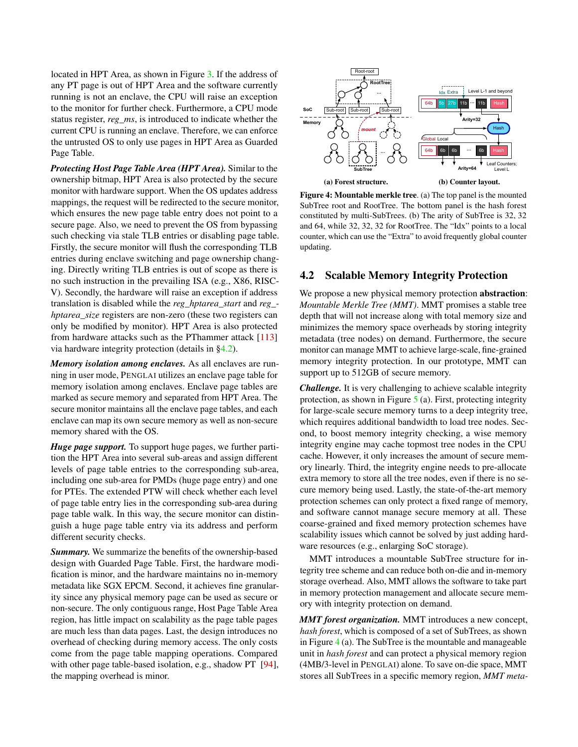located in HPT Area, as shown in Figure [3.](#page-3-2) If the address of any PT page is out of HPT Area and the software currently running is not an enclave, the CPU will raise an exception to the monitor for further check. Furthermore, a CPU mode status register, *reg\_ms*, is introduced to indicate whether the current CPU is running an enclave. Therefore, we can enforce the untrusted OS to only use pages in HPT Area as Guarded Page Table.

*Protecting Host Page Table Area (HPT Area).* Similar to the ownership bitmap, HPT Area is also protected by the secure monitor with hardware support. When the OS updates address mappings, the request will be redirected to the secure monitor, which ensures the new page table entry does not point to a secure page. Also, we need to prevent the OS from bypassing such checking via stale TLB entries or disabling page table. Firstly, the secure monitor will flush the corresponding TLB entries during enclave switching and page ownership changing. Directly writing TLB entries is out of scope as there is no such instruction in the prevailing ISA (e.g., X86, RISC-V). Secondly, the hardware will raise an exception if address translation is disabled while the *reg\_hptarea\_start* and *reg\_ hptarea\_size* registers are non-zero (these two registers can only be modified by monitor). HPT Area is also protected from hardware attacks such as the PThammer attack [\[113\]](#page-19-3) via hardware integrity protection (details in [§4.2\)](#page-4-0).

*Memory isolation among enclaves.* As all enclaves are running in user mode, PENGLAI utilizes an enclave page table for memory isolation among enclaves. Enclave page tables are marked as secure memory and separated from HPT Area. The secure monitor maintains all the enclave page tables, and each enclave can map its own secure memory as well as non-secure memory shared with the OS.

*Huge page support.* To support huge pages, we further partition the HPT Area into several sub-areas and assign different levels of page table entries to the corresponding sub-area, including one sub-area for PMDs (huge page entry) and one for PTEs. The extended PTW will check whether each level of page table entry lies in the corresponding sub-area during page table walk. In this way, the secure monitor can distinguish a huge page table entry via its address and perform different security checks.

<span id="page-4-0"></span>*Summary.* We summarize the benefits of the ownership-based design with Guarded Page Table. First, the hardware modification is minor, and the hardware maintains no in-memory metadata like SGX EPCM. Second, it achieves fine granularity since any physical memory page can be used as secure or non-secure. The only contiguous range, Host Page Table Area region, has little impact on scalability as the page table pages are much less than data pages. Last, the design introduces no overhead of checking during memory access. The only costs come from the page table mapping operations. Compared with other page table-based isolation, e.g., shadow PT [\[94\]](#page-18-8), the mapping overhead is minor.

<span id="page-4-1"></span>

Figure 4: Mountable merkle tree. (a) The top panel is the mounted SubTree root and RootTree. The bottom panel is the hash forest constituted by multi-SubTrees. (b) The arity of SubTree is 32, 32 and 64, while 32, 32, 32 for RootTree. The "Idx" points to a local counter, which can use the "Extra" to avoid frequently global counter updating.

#### 4.2 Scalable Memory Integrity Protection

We propose a new physical memory protection **abstraction**: *Mountable Merkle Tree (MMT)*. MMT promises a stable tree depth that will not increase along with total memory size and minimizes the memory space overheads by storing integrity metadata (tree nodes) on demand. Furthermore, the secure monitor can manage MMT to achieve large-scale, fine-grained memory integrity protection. In our prototype, MMT can support up to 512GB of secure memory.

*Challenge.* It is very challenging to achieve scalable integrity protection, as shown in Figure [5](#page-5-0) (a). First, protecting integrity for large-scale secure memory turns to a deep integrity tree, which requires additional bandwidth to load tree nodes. Second, to boost memory integrity checking, a wise memory integrity engine may cache topmost tree nodes in the CPU cache. However, it only increases the amount of secure memory linearly. Third, the integrity engine needs to pre-allocate extra memory to store all the tree nodes, even if there is no secure memory being used. Lastly, the state-of-the-art memory protection schemes can only protect a fixed range of memory, and software cannot manage secure memory at all. These coarse-grained and fixed memory protection schemes have scalability issues which cannot be solved by just adding hardware resources (e.g., enlarging SoC storage).

MMT introduces a mountable SubTree structure for integrity tree scheme and can reduce both on-die and in-memory storage overhead. Also, MMT allows the software to take part in memory protection management and allocate secure memory with integrity protection on demand.

*MMT forest organization.* MMT introduces a new concept, *hash forest*, which is composed of a set of SubTrees, as shown in Figure  $4$  (a). The SubTree is the mountable and manageable unit in *hash forest* and can protect a physical memory region (4MB/3-level in PENGLAI) alone. To save on-die space, MMT stores all SubTrees in a specific memory region, *MMT meta-*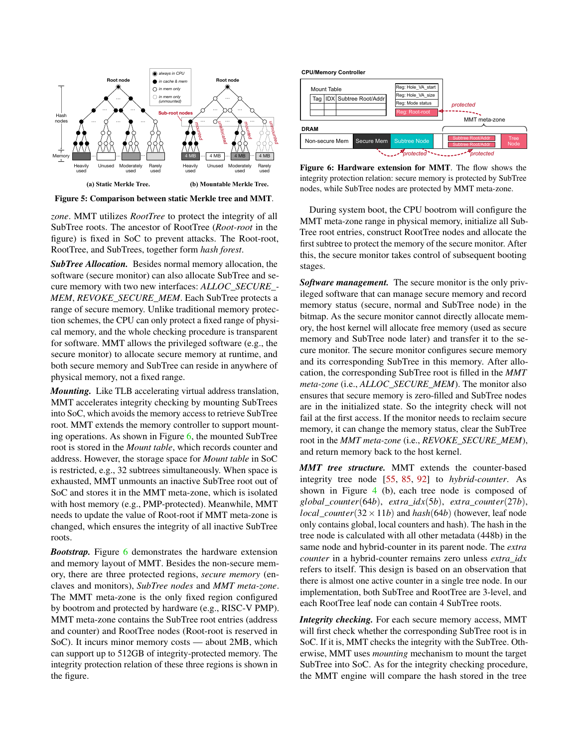<span id="page-5-0"></span>

Figure 5: Comparison between static Merkle tree and MMT.

*zone*. MMT utilizes *RootTree* to protect the integrity of all SubTree roots. The ancestor of RootTree (*Root-root* in the figure) is fixed in SoC to prevent attacks. The Root-root, RootTree, and SubTrees, together form *hash forest*.

*SubTree Allocation.* Besides normal memory allocation, the software (secure monitor) can also allocate SubTree and secure memory with two new interfaces: *ALLOC\_SECURE\_- MEM*, *REVOKE\_SECURE\_MEM*. Each SubTree protects a range of secure memory. Unlike traditional memory protection schemes, the CPU can only protect a fixed range of physical memory, and the whole checking procedure is transparent for software. MMT allows the privileged software (e.g., the secure monitor) to allocate secure memory at runtime, and both secure memory and SubTree can reside in anywhere of physical memory, not a fixed range.

*Mounting.* Like TLB accelerating virtual address translation, MMT accelerates integrity checking by mounting SubTrees into SoC, which avoids the memory access to retrieve SubTree root. MMT extends the memory controller to support mounting operations. As shown in Figure [6,](#page-5-1) the mounted SubTree root is stored in the *Mount table*, which records counter and address. However, the storage space for *Mount table* in SoC is restricted, e.g., 32 subtrees simultaneously. When space is exhausted, MMT unmounts an inactive SubTree root out of SoC and stores it in the MMT meta-zone, which is isolated with host memory (e.g., PMP-protected). Meanwhile, MMT needs to update the value of Root-root if MMT meta-zone is changed, which ensures the integrity of all inactive SubTree roots.

*Bootstrap.* Figure [6](#page-5-1) demonstrates the hardware extension and memory layout of MMT. Besides the non-secure memory, there are three protected regions, *secure memory* (enclaves and monitors), *SubTree nodes* and *MMT meta-zone*. The MMT meta-zone is the only fixed region configured by bootrom and protected by hardware (e.g., RISC-V PMP). MMT meta-zone contains the SubTree root entries (address and counter) and RootTree nodes (Root-root is reserved in SoC). It incurs minor memory costs — about 2MB, which can support up to 512GB of integrity-protected memory. The integrity protection relation of these three regions is shown in the figure.

<span id="page-5-1"></span>

Figure 6: Hardware extension for MMT. The flow shows the integrity protection relation: secure memory is protected by SubTree nodes, while SubTree nodes are protected by MMT meta-zone.

During system boot, the CPU bootrom will configure the MMT meta-zone range in physical memory, initialize all Sub-Tree root entries, construct RootTree nodes and allocate the first subtree to protect the memory of the secure monitor. After this, the secure monitor takes control of subsequent booting stages.

*Software management.* The secure monitor is the only privileged software that can manage secure memory and record memory status (secure, normal and SubTree node) in the bitmap. As the secure monitor cannot directly allocate memory, the host kernel will allocate free memory (used as secure memory and SubTree node later) and transfer it to the secure monitor. The secure monitor configures secure memory and its corresponding SubTree in this memory. After allocation, the corresponding SubTree root is filled in the *MMT meta-zone* (i.e., *ALLOC\_SECURE\_MEM*). The monitor also ensures that secure memory is zero-filled and SubTree nodes are in the initialized state. So the integrity check will not fail at the first access. If the monitor needs to reclaim secure memory, it can change the memory status, clear the SubTree root in the *MMT meta-zone* (i.e., *REVOKE\_SECURE\_MEM*), and return memory back to the host kernel.

*MMT tree structure.* MMT extends the counter-based integrity tree node [\[55,](#page-16-9) [85,](#page-17-8) [92\]](#page-18-6) to *hybrid-counter*. As shown in Figure [4](#page-4-1) (b), each tree node is composed of *global*\_*counter*(64*b*), *extra*\_*idx*(5*b*), *extra*\_*counter*(27*b*), *local\_counter*( $32 \times 11b$ ) and *hash*( $64b$ ) (however, leaf node only contains global, local counters and hash). The hash in the tree node is calculated with all other metadata (448b) in the same node and hybrid-counter in its parent node. The *extra counter* in a hybrid-counter remains zero unless *extra\_idx* refers to itself. This design is based on an observation that there is almost one active counter in a single tree node. In our implementation, both SubTree and RootTree are 3-level, and each RootTree leaf node can contain 4 SubTree roots.

*Integrity checking.* For each secure memory access, MMT will first check whether the corresponding SubTree root is in SoC. If it is, MMT checks the integrity with the SubTree. Otherwise, MMT uses *mounting* mechanism to mount the target SubTree into SoC. As for the integrity checking procedure, the MMT engine will compare the hash stored in the tree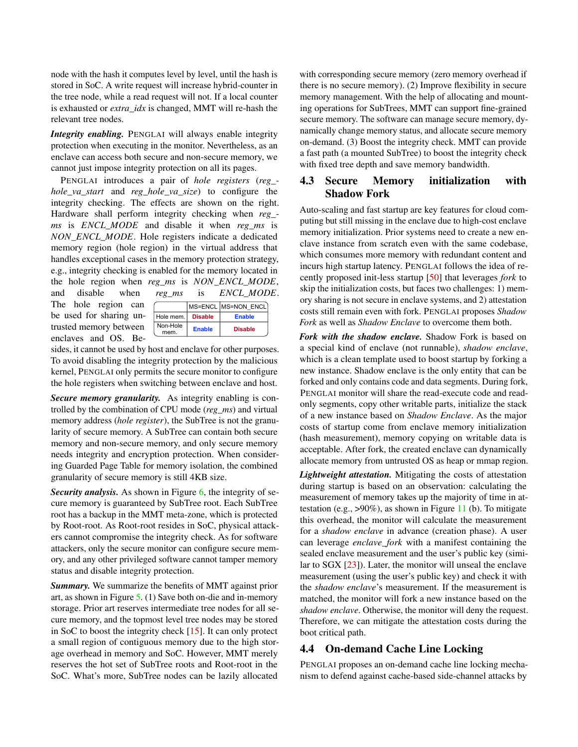node with the hash it computes level by level, until the hash is stored in SoC. A write request will increase hybrid-counter in the tree node, while a read request will not. If a local counter is exhausted or *extra\_idx* is changed, MMT will re-hash the relevant tree nodes.

*Integrity enabling.* PENGLAI will always enable integrity protection when executing in the monitor. Nevertheless, as an enclave can access both secure and non-secure memory, we cannot just impose integrity protection on all its pages.

PENGLAI introduces a pair of *hole registers* (*reg\_ hole\_va\_start* and *reg\_hole\_va\_size*) to configure the integrity checking. The effects are shown on the right. Hardware shall perform integrity checking when *reg\_ ms* is *ENCL*\_*MODE* and disable it when *reg\_ms* is *NON*\_*ENCL*\_*MODE*. Hole registers indicate a dedicated memory region (hole region) in the virtual address that handles exceptional cases in the memory protection strategy, e.g., integrity checking is enabled for the memory located in the hole region when *reg\_ms* is *NON*\_*ENCL*\_*MODE*, and disable when *reg\_ms* is *ENCL*\_*MODE*.

The hole region can be used for sharing untrusted memory between enclaves and OS. Be-

|                  |                | MS=ENCL MS=NON ENCL |  |
|------------------|----------------|---------------------|--|
| Hole mem.        | <b>Disable</b> | <b>Enable</b>       |  |
| Non-Hole<br>mem. | <b>Enable</b>  | <b>Disable</b>      |  |

sides, it cannot be used by host and enclave for other purposes. To avoid disabling the integrity protection by the malicious kernel, PENGLAI only permits the secure monitor to configure the hole registers when switching between enclave and host.

*Secure memory granularity.* As integrity enabling is controlled by the combination of CPU mode (*reg\_ms*) and virtual memory address (*hole register*), the SubTree is not the granularity of secure memory. A SubTree can contain both secure memory and non-secure memory, and only secure memory needs integrity and encryption protection. When considering Guarded Page Table for memory isolation, the combined granularity of secure memory is still 4KB size.

*Security analysis.* As shown in Figure [6,](#page-5-1) the integrity of secure memory is guaranteed by SubTree root. Each SubTree root has a backup in the MMT meta-zone, which is protected by Root-root. As Root-root resides in SoC, physical attackers cannot compromise the integrity check. As for software attackers, only the secure monitor can configure secure memory, and any other privileged software cannot tamper memory status and disable integrity protection.

*Summary.* We summarize the benefits of MMT against prior art, as shown in Figure [5.](#page-5-0) (1) Save both on-die and in-memory storage. Prior art reserves intermediate tree nodes for all secure memory, and the topmost level tree nodes may be stored in SoC to boost the integrity check [\[15\]](#page-14-6). It can only protect a small region of contiguous memory due to the high storage overhead in memory and SoC. However, MMT merely reserves the hot set of SubTree roots and Root-root in the SoC. What's more, SubTree nodes can be lazily allocated

with corresponding secure memory (zero memory overhead if there is no secure memory). (2) Improve flexibility in secure memory management. With the help of allocating and mounting operations for SubTrees, MMT can support fine-grained secure memory. The software can manage secure memory, dynamically change memory status, and allocate secure memory on-demand. (3) Boost the integrity check. MMT can provide a fast path (a mounted SubTree) to boost the integrity check with fixed tree depth and save memory bandwidth.

### 4.3 Secure Memory initialization with Shadow Fork

Auto-scaling and fast startup are key features for cloud computing but still missing in the enclave due to high-cost enclave memory initialization. Prior systems need to create a new enclave instance from scratch even with the same codebase, which consumes more memory with redundant content and incurs high startup latency. PENGLAI follows the idea of recently proposed init-less startup [\[50\]](#page-16-4) that leverages *fork* to skip the initialization costs, but faces two challenges: 1) memory sharing is not secure in enclave systems, and 2) attestation costs still remain even with fork. PENGLAI proposes *Shadow Fork* as well as *Shadow Enclave* to overcome them both.

*Fork with the shadow enclave.* Shadow Fork is based on a special kind of enclave (not runnable), *shadow enclave*, which is a clean template used to boost startup by forking a new instance. Shadow enclave is the only entity that can be forked and only contains code and data segments. During fork, PENGLAI monitor will share the read-execute code and readonly segments, copy other writable parts, initialize the stack of a new instance based on *Shadow Enclave*. As the major costs of startup come from enclave memory initialization (hash measurement), memory copying on writable data is acceptable. After fork, the created enclave can dynamically allocate memory from untrusted OS as heap or mmap region.

*Lightweight attestation.* Mitigating the costs of attestation during startup is based on an observation: calculating the measurement of memory takes up the majority of time in attestation (e.g.,  $>90\%$ ), as shown in Figure [11](#page-9-0) (b). To mitigate this overhead, the monitor will calculate the measurement for a *shadow enclave* in advance (creation phase). A user can leverage *enclave\_fork* with a manifest containing the sealed enclave measurement and the user's public key (similar to SGX [\[23\]](#page-14-15)). Later, the monitor will unseal the enclave measurement (using the user's public key) and check it with the *shadow enclave*'s measurement. If the measurement is matched, the monitor will fork a new instance based on the *shadow enclave*. Otherwise, the monitor will deny the request. Therefore, we can mitigate the attestation costs during the boot critical path.

# <span id="page-6-0"></span>4.4 On-demand Cache Line Locking

PENGLAI proposes an on-demand cache line locking mechanism to defend against cache-based side-channel attacks by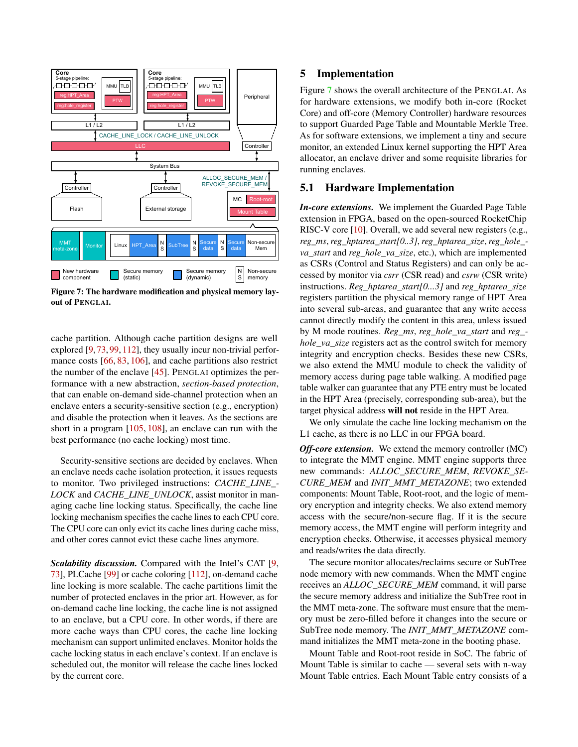<span id="page-7-0"></span>

Figure 7: The hardware modification and physical memory layout of PENGLAI.

cache partition. Although cache partition designs are well explored [\[9,](#page-14-16) [73,](#page-17-12) [99,](#page-18-9) [112\]](#page-19-4), they usually incur non-trivial perfor-mance costs [\[66,](#page-16-10) [83,](#page-17-13) [106\]](#page-18-10), and cache partitions also restrict the number of the enclave [\[45\]](#page-15-8). PENGLAI optimizes the performance with a new abstraction, *section-based protection*, that can enable on-demand side-channel protection when an enclave enters a security-sensitive section (e.g., encryption) and disable the protection when it leaves. As the sections are short in a program [\[105,](#page-18-11) [108\]](#page-19-5), an enclave can run with the best performance (no cache locking) most time.

Security-sensitive sections are decided by enclaves. When an enclave needs cache isolation protection, it issues requests to monitor. Two privileged instructions: *CACHE\_LINE\_- LOCK* and *CACHE\_LINE\_UNLOCK*, assist monitor in managing cache line locking status. Specifically, the cache line locking mechanism specifies the cache lines to each CPU core. The CPU core can only evict its cache lines during cache miss, and other cores cannot evict these cache lines anymore.

*Scalability discussion.* Compared with the Intel's CAT [\[9,](#page-14-16) [73\]](#page-17-12), PLCache [\[99\]](#page-18-9) or cache coloring [\[112\]](#page-19-4), on-demand cache line locking is more scalable. The cache partitions limit the number of protected enclaves in the prior art. However, as for on-demand cache line locking, the cache line is not assigned to an enclave, but a CPU core. In other words, if there are more cache ways than CPU cores, the cache line locking mechanism can support unlimited enclaves. Monitor holds the cache locking status in each enclave's context. If an enclave is scheduled out, the monitor will release the cache lines locked by the current core.

#### 5 Implementation

Figure [7](#page-7-0) shows the overall architecture of the PENGLAI. As for hardware extensions, we modify both in-core (Rocket Core) and off-core (Memory Controller) hardware resources to support Guarded Page Table and Mountable Merkle Tree. As for software extensions, we implement a tiny and secure monitor, an extended Linux kernel supporting the HPT Area allocator, an enclave driver and some requisite libraries for running enclaves.

#### 5.1 Hardware Implementation

*In-core extensions.* We implement the Guarded Page Table extension in FPGA, based on the open-sourced RocketChip RISC-V core [\[10\]](#page-14-17). Overall, we add several new registers (e.g., *reg\_ms*,*reg\_hptarea\_start[0..3]*,*reg\_hptarea\_size*,*reg\_hole\_ va\_start* and *reg\_hole\_va\_size*, etc.), which are implemented as CSRs (Control and Status Registers) and can only be accessed by monitor via *csrr* (CSR read) and *csrw* (CSR write) instructions. *Reg\_hptarea\_start[0...3]* and *reg\_hptarea\_size* registers partition the physical memory range of HPT Area into several sub-areas, and guarantee that any write access cannot directly modify the content in this area, unless issued by M mode routines. *Reg\_ms*, *reg\_hole\_va\_start* and *reg\_ hole\_va\_size* registers act as the control switch for memory integrity and encryption checks. Besides these new CSRs, we also extend the MMU module to check the validity of memory access during page table walking. A modified page table walker can guarantee that any PTE entry must be located in the HPT Area (precisely, corresponding sub-area), but the target physical address will not reside in the HPT Area.

We only simulate the cache line locking mechanism on the L1 cache, as there is no LLC in our FPGA board.

*Off-core extension.* We extend the memory controller (MC) to integrate the MMT engine. MMT engine supports three new commands: *ALLOC\_SECURE\_MEM*, *REVOKE\_SE-CURE\_MEM* and *INIT\_MMT\_METAZONE*; two extended components: Mount Table, Root-root, and the logic of memory encryption and integrity checks. We also extend memory access with the secure/non-secure flag. If it is the secure memory access, the MMT engine will perform integrity and encryption checks. Otherwise, it accesses physical memory and reads/writes the data directly.

The secure monitor allocates/reclaims secure or SubTree node memory with new commands. When the MMT engine receives an *ALLOC\_SECURE\_MEM* command, it will parse the secure memory address and initialize the SubTree root in the MMT meta-zone. The software must ensure that the memory must be zero-filled before it changes into the secure or SubTree node memory. The *INIT\_MMT\_METAZONE* command initializes the MMT meta-zone in the booting phase.

Mount Table and Root-root reside in SoC. The fabric of Mount Table is similar to cache — several sets with n-way Mount Table entries. Each Mount Table entry consists of a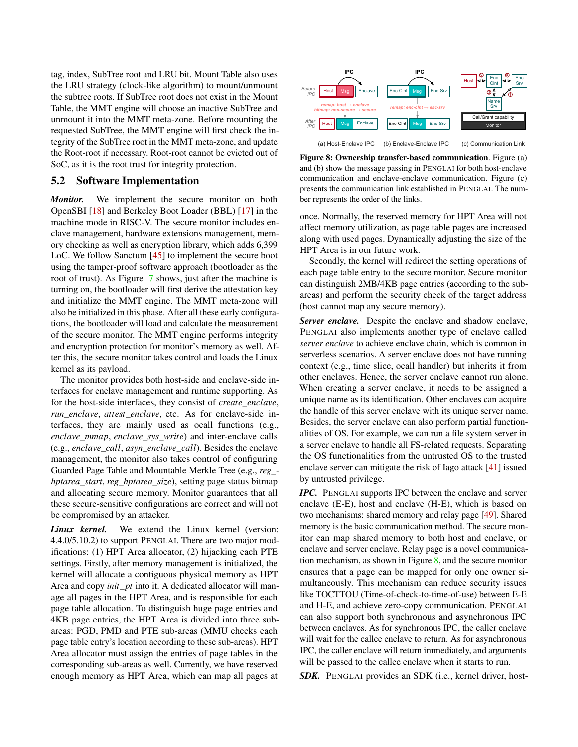tag, index, SubTree root and LRU bit. Mount Table also uses the LRU strategy (clock-like algorithm) to mount/unmount the subtree roots. If SubTree root does not exist in the Mount Table, the MMT engine will choose an inactive SubTree and unmount it into the MMT meta-zone. Before mounting the requested SubTree, the MMT engine will first check the integrity of the SubTree root in the MMT meta-zone, and update the Root-root if necessary. Root-root cannot be evicted out of SoC, as it is the root trust for integrity protection.

### 5.2 Software Implementation

*Monitor.* We implement the secure monitor on both OpenSBI [\[18\]](#page-14-18) and Berkeley Boot Loader (BBL) [\[17\]](#page-14-19) in the machine mode in RISC-V. The secure monitor includes enclave management, hardware extensions management, memory checking as well as encryption library, which adds 6,399 LoC. We follow Sanctum [\[45\]](#page-15-8) to implement the secure boot using the tamper-proof software approach (bootloader as the root of trust). As Figure [7](#page-7-0) shows, just after the machine is turning on, the bootloader will first derive the attestation key and initialize the MMT engine. The MMT meta-zone will also be initialized in this phase. After all these early configurations, the bootloader will load and calculate the measurement of the secure monitor. The MMT engine performs integrity and encryption protection for monitor's memory as well. After this, the secure monitor takes control and loads the Linux kernel as its payload.

The monitor provides both host-side and enclave-side interfaces for enclave management and runtime supporting. As for the host-side interfaces, they consist of *create*\_*enclave*, *run*\_*enclave*, *attest*\_*enclave*, etc. As for enclave-side interfaces, they are mainly used as ocall functions (e.g., *enclave*\_*mmap*, *enclave*\_*sys*\_*write*) and inter-enclave calls (e.g., *enclave*\_*call*, *asyn*\_*enclave*\_*call*). Besides the enclave management, the monitor also takes control of configuring Guarded Page Table and Mountable Merkle Tree (e.g., *reg\_ hptarea\_start*, *reg\_hptarea\_size*), setting page status bitmap and allocating secure memory. Monitor guarantees that all these secure-sensitive configurations are correct and will not be compromised by an attacker.

*Linux kernel.* We extend the Linux kernel (version: 4.4.0/5.10.2) to support PENGLAI. There are two major modifications: (1) HPT Area allocator, (2) hijacking each PTE settings. Firstly, after memory management is initialized, the kernel will allocate a contiguous physical memory as HPT Area and copy *init*\_*pt* into it. A dedicated allocator will manage all pages in the HPT Area, and is responsible for each page table allocation. To distinguish huge page entries and 4KB page entries, the HPT Area is divided into three subareas: PGD, PMD and PTE sub-areas (MMU checks each page table entry's location according to these sub-areas). HPT Area allocator must assign the entries of page tables in the corresponding sub-areas as well. Currently, we have reserved enough memory as HPT Area, which can map all pages at

<span id="page-8-0"></span>

Figure 8: Ownership transfer-based communication. Figure (a) and (b) show the message passing in PENGLAI for both host-enclave communication and enclave-enclave communication. Figure (c) presents the communication link established in PENGLAI. The number represents the order of the links.

once. Normally, the reserved memory for HPT Area will not affect memory utilization, as page table pages are increased along with used pages. Dynamically adjusting the size of the HPT Area is in our future work.

Secondly, the kernel will redirect the setting operations of each page table entry to the secure monitor. Secure monitor can distinguish 2MB/4KB page entries (according to the subareas) and perform the security check of the target address (host cannot map any secure memory).

*Server enclave.* Despite the enclave and shadow enclave, PENGLAI also implements another type of enclave called *server enclave* to achieve enclave chain, which is common in serverless scenarios. A server enclave does not have running context (e.g., time slice, ocall handler) but inherits it from other enclaves. Hence, the server enclave cannot run alone. When creating a server enclave, it needs to be assigned a unique name as its identification. Other enclaves can acquire the handle of this server enclave with its unique server name. Besides, the server enclave can also perform partial functionalities of OS. For example, we can run a file system server in a server enclave to handle all FS-related requests. Separating the OS functionalities from the untrusted OS to the trusted enclave server can mitigate the risk of Iago attack [\[41\]](#page-15-11) issued by untrusted privilege.

*IPC.* PENGLAI supports IPC between the enclave and server enclave (E-E), host and enclave (H-E), which is based on two mechanisms: shared memory and relay page [\[49\]](#page-16-11). Shared memory is the basic communication method. The secure monitor can map shared memory to both host and enclave, or enclave and server enclave. Relay page is a novel communication mechanism, as shown in Figure  $\frac{8}{3}$ , and the secure monitor ensures that a page can be mapped for only one owner simultaneously. This mechanism can reduce security issues like TOCTTOU (Time-of-check-to-time-of-use) between E-E and H-E, and achieve zero-copy communication. PENGLAI can also support both synchronous and asynchronous IPC between enclaves. As for synchronous IPC, the caller enclave will wait for the callee enclave to return. As for asynchronous IPC, the caller enclave will return immediately, and arguments will be passed to the callee enclave when it starts to run.

**SDK.** PENGLAI provides an SDK (i.e., kernel driver, host-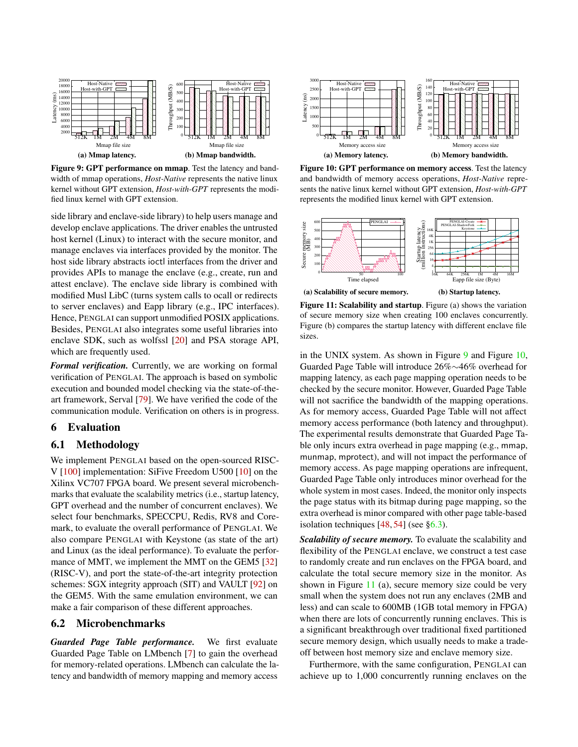<span id="page-9-1"></span>

Figure 9: GPT performance on mmap. Test the latency and bandwidth of mmap operations, *Host-Native* represents the native linux kernel without GPT extension, *Host-with-GPT* represents the modified linux kernel with GPT extension.

side library and enclave-side library) to help users manage and develop enclave applications. The driver enables the untrusted host kernel (Linux) to interact with the secure monitor, and manage enclaves via interfaces provided by the monitor. The host side library abstracts ioctl interfaces from the driver and provides APIs to manage the enclave (e.g., create, run and attest enclave). The enclave side library is combined with modified Musl LibC (turns system calls to ocall or redirects to server enclaves) and Eapp library (e.g., IPC interfaces). Hence, PENGLAI can support unmodified POSIX applications. Besides, PENGLAI also integrates some useful libraries into enclave SDK, such as wolfssl [\[20\]](#page-14-20) and PSA storage API, which are frequently used.

*Formal verification.* Currently, we are working on formal verification of PENGLAI. The approach is based on symbolic execution and bounded model checking via the state-of-theart framework, Serval [\[79\]](#page-17-14). We have verified the code of the communication module. Verification on others is in progress.

### 6 Evaluation

#### 6.1 Methodology

We implement PENGLAI based on the open-sourced RISC-V [\[100\]](#page-18-3) implementation: SiFive Freedom U500 [\[10\]](#page-14-17) on the Xilinx VC707 FPGA board. We present several microbenchmarks that evaluate the scalability metrics (i.e., startup latency, GPT overhead and the number of concurrent enclaves). We select four benchmarks, SPECCPU, Redis, RV8 and Coremark, to evaluate the overall performance of PENGLAI. We also compare PENGLAI with Keystone (as state of the art) and Linux (as the ideal performance). To evaluate the perfor-mance of MMT, we implement the MMT on the GEM5 [\[32\]](#page-15-12) (RISC-V), and port the state-of-the-art integrity protection schemes: SGX integrity approach (SIT) and VAULT [\[92\]](#page-18-6) on the GEM5. With the same emulation environment, we can make a fair comparison of these different approaches.

#### 6.2 Microbenchmarks

*Guarded Page Table performance.* We first evaluate Guarded Page Table on LMbench [\[7\]](#page-14-21) to gain the overhead for memory-related operations. LMbench can calculate the latency and bandwidth of memory mapping and memory access

<span id="page-9-2"></span>

Figure 10: GPT performance on memory access. Test the latency and bandwidth of memory access operations, *Host-Native* represents the native linux kernel without GPT extension, *Host-with-GPT* represents the modified linux kernel with GPT extension.

<span id="page-9-0"></span>

Figure 11: Scalability and startup. Figure (a) shows the variation of secure memory size when creating 100 enclaves concurrently. Figure (b) compares the startup latency with different enclave file sizes.

in the UNIX system. As shown in Figure  $9$  and Figure [10,](#page-9-2) Guarded Page Table will introduce 26%∼46% overhead for mapping latency, as each page mapping operation needs to be checked by the secure monitor. However, Guarded Page Table will not sacrifice the bandwidth of the mapping operations. As for memory access, Guarded Page Table will not affect memory access performance (both latency and throughput). The experimental results demonstrate that Guarded Page Table only incurs extra overhead in page mapping (e.g., mmap, munmap, mprotect), and will not impact the performance of memory access. As page mapping operations are infrequent, Guarded Page Table only introduces minor overhead for the whole system in most cases. Indeed, the monitor only inspects the page status with its bitmap during page mapping, so the extra overhead is minor compared with other page table-based isolation techniques  $[48, 54]$  $[48, 54]$  $[48, 54]$  (see [§6.3\)](#page-11-0).

*Scalability of secure memory.* To evaluate the scalability and flexibility of the PENGLAI enclave, we construct a test case to randomly create and run enclaves on the FPGA board, and calculate the total secure memory size in the monitor. As shown in Figure  $11$  (a), secure memory size could be very small when the system does not run any enclaves (2MB and less) and can scale to 600MB (1GB total memory in FPGA) when there are lots of concurrently running enclaves. This is a significant breakthrough over traditional fixed partitioned secure memory design, which usually needs to make a tradeoff between host memory size and enclave memory size.

Furthermore, with the same configuration, PENGLAI can achieve up to 1,000 concurrently running enclaves on the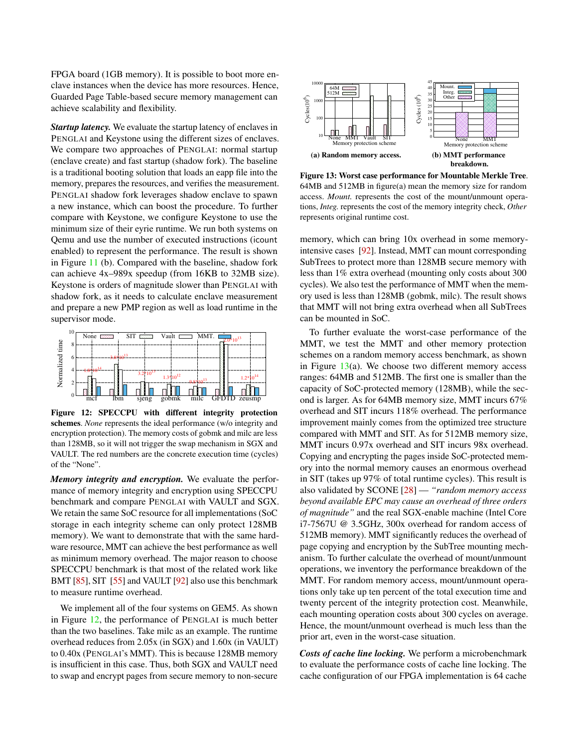FPGA board (1GB memory). It is possible to boot more enclave instances when the device has more resources. Hence, Guarded Page Table-based secure memory management can achieve scalability and flexibility.

*Startup latency.* We evaluate the startup latency of enclaves in PENGLAI and Keystone using the different sizes of enclaves. We compare two approaches of PENGLAI: normal startup (enclave create) and fast startup (shadow fork). The baseline is a traditional booting solution that loads an eapp file into the memory, prepares the resources, and verifies the measurement. PENGLAI shadow fork leverages shadow enclave to spawn a new instance, which can boost the procedure. To further compare with Keystone, we configure Keystone to use the minimum size of their eyrie runtime. We run both systems on Qemu and use the number of executed instructions (icount enabled) to represent the performance. The result is shown in Figure [11](#page-9-0) (b). Compared with the baseline, shadow fork can achieve 4x–989x speedup (from 16KB to 32MB size). Keystone is orders of magnitude slower than PENGLAI with shadow fork, as it needs to calculate enclave measurement and prepare a new PMP region as well as load runtime in the supervisor mode.

<span id="page-10-0"></span>

Figure 12: SPECCPU with different integrity protection schemes. *None* represents the ideal performance (w/o integrity and encryption protection). The memory costs of gobmk and milc are less than 128MB, so it will not trigger the swap mechanism in SGX and VAULT. The red numbers are the concrete execution time (cycles) of the "None".

*Memory integrity and encryption.* We evaluate the performance of memory integrity and encryption using SPECCPU benchmark and compare PENGLAI with VAULT and SGX. We retain the same SoC resource for all implementations (SoC storage in each integrity scheme can only protect 128MB memory). We want to demonstrate that with the same hardware resource, MMT can achieve the best performance as well as minimum memory overhead. The major reason to choose SPECCPU benchmark is that most of the related work like BMT [\[85\]](#page-17-8), SIT [\[55\]](#page-16-9) and VAULT [\[92\]](#page-18-6) also use this benchmark to measure runtime overhead.

We implement all of the four systems on GEM5. As shown in Figure [12,](#page-10-0) the performance of PENGLAI is much better than the two baselines. Take milc as an example. The runtime overhead reduces from 2.05x (in SGX) and 1.60x (in VAULT) to 0.40x (PENGLAI's MMT). This is because 128MB memory is insufficient in this case. Thus, both SGX and VAULT need to swap and encrypt pages from secure memory to non-secure

<span id="page-10-1"></span>

Figure 13: Worst case performance for Mountable Merkle Tree. 64MB and 512MB in figure(a) mean the memory size for random access. *Mount.* represents the cost of the mount/unmount operations, *Integ.* represents the cost of the memory integrity check, *Other* represents original runtime cost.

memory, which can bring 10x overhead in some memoryintensive cases [\[92\]](#page-18-6). Instead, MMT can mount corresponding SubTrees to protect more than 128MB secure memory with less than 1% extra overhead (mounting only costs about 300 cycles). We also test the performance of MMT when the memory used is less than 128MB (gobmk, milc). The result shows that MMT will not bring extra overhead when all SubTrees can be mounted in SoC.

To further evaluate the worst-case performance of the MMT, we test the MMT and other memory protection schemes on a random memory access benchmark, as shown in Figure  $13(a)$  $13(a)$ . We choose two different memory access ranges: 64MB and 512MB. The first one is smaller than the capacity of SoC-protected memory (128MB), while the second is larger. As for 64MB memory size, MMT incurs 67% overhead and SIT incurs 118% overhead. The performance improvement mainly comes from the optimized tree structure compared with MMT and SIT. As for 512MB memory size, MMT incurs 0.97x overhead and SIT incurs 98x overhead. Copying and encrypting the pages inside SoC-protected memory into the normal memory causes an enormous overhead in SIT (takes up 97% of total runtime cycles). This result is also validated by SCONE [\[28\]](#page-14-2) — *"random memory access beyond available EPC may cause an overhead of three orders of magnitude"* and the real SGX-enable machine (Intel Core i7-7567U @ 3.5GHz, 300x overhead for random access of 512MB memory). MMT significantly reduces the overhead of page copying and encryption by the SubTree mounting mechanism. To further calculate the overhead of mount/unmount operations, we inventory the performance breakdown of the MMT. For random memory access, mount/unmount operations only take up ten percent of the total execution time and twenty percent of the integrity protection cost. Meanwhile, each mounting operation costs about 300 cycles on average. Hence, the mount/unmount overhead is much less than the prior art, even in the worst-case situation.

*Costs of cache line locking.* We perform a microbenchmark to evaluate the performance costs of cache line locking. The cache configuration of our FPGA implementation is 64 cache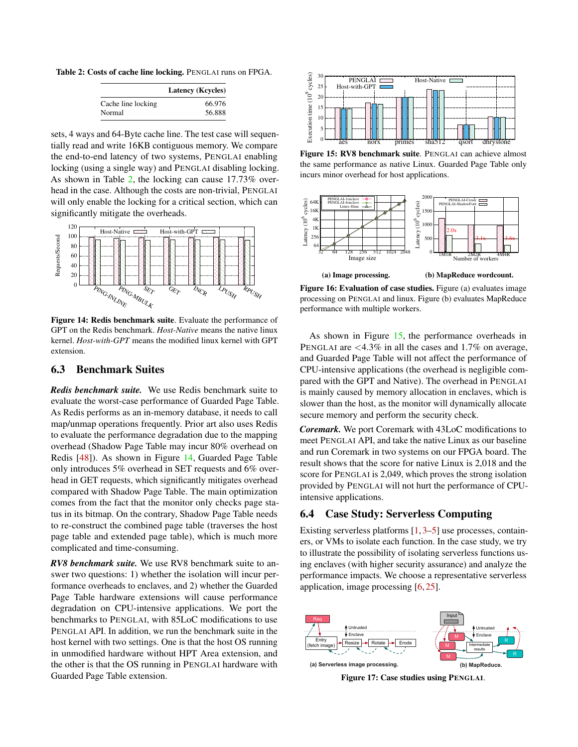<span id="page-11-1"></span>Table 2: Costs of cache line locking. PENGLAI runs on FPGA.

|                    | <b>Latency (Kcycles)</b> |
|--------------------|--------------------------|
| Cache line locking | 66.976                   |
| Normal             | 56.888                   |

sets, 4 ways and 64-Byte cache line. The test case will sequentially read and write 16KB contiguous memory. We compare the end-to-end latency of two systems, PENGLAI enabling locking (using a single way) and PENGLAI disabling locking. As shown in Table [2,](#page-11-1) the locking can cause 17.73% overhead in the case. Although the costs are non-trivial, PENGLAI will only enable the locking for a critical section, which can significantly mitigate the overheads.

<span id="page-11-2"></span>

Figure 14: Redis benchmark suite. Evaluate the performance of GPT on the Redis benchmark. *Host-Native* means the native linux kernel. *Host-with-GPT* means the modified linux kernel with GPT extension.

### <span id="page-11-0"></span>6.3 Benchmark Suites

*Redis benchmark suite.* We use Redis benchmark suite to evaluate the worst-case performance of Guarded Page Table. As Redis performs as an in-memory database, it needs to call map/unmap operations frequently. Prior art also uses Redis to evaluate the performance degradation due to the mapping overhead (Shadow Page Table may incur 80% overhead on Redis [\[48\]](#page-16-12)). As shown in Figure [14,](#page-11-2) Guarded Page Table only introduces 5% overhead in SET requests and 6% overhead in GET requests, which significantly mitigates overhead compared with Shadow Page Table. The main optimization comes from the fact that the monitor only checks page status in its bitmap. On the contrary, Shadow Page Table needs to re-construct the combined page table (traverses the host page table and extended page table), which is much more complicated and time-consuming.

*RV8 benchmark suite.* We use RV8 benchmark suite to answer two questions: 1) whether the isolation will incur performance overheads to enclaves, and 2) whether the Guarded Page Table hardware extensions will cause performance degradation on CPU-intensive applications. We port the benchmarks to PENGLAI, with 85LoC modifications to use PENGLAI API. In addition, we run the benchmark suite in the host kernel with two settings. One is that the host OS running in unmodified hardware without HPT Area extension, and the other is that the OS running in PENGLAI hardware with Guarded Page Table extension.

<span id="page-11-3"></span>

Figure 15: RV8 benchmark suite. PENGLAI can achieve almost the same performance as native Linux. Guarded Page Table only incurs minor overhead for host applications.

<span id="page-11-5"></span>

Figure 16: Evaluation of case studies. Figure (a) evaluates image processing on PENGLAI and linux. Figure (b) evaluates MapReduce performance with multiple workers.

As shown in Figure [15,](#page-11-3) the performance overheads in PENGLAI are <4.3% in all the cases and 1.7% on average, and Guarded Page Table will not affect the performance of CPU-intensive applications (the overhead is negligible compared with the GPT and Native). The overhead in PENGLAI is mainly caused by memory allocation in enclaves, which is slower than the host, as the monitor will dynamically allocate secure memory and perform the security check.

*Coremark.* We port Coremark with 43LoC modifications to meet PENGLAI API, and take the native Linux as our baseline and run Coremark in two systems on our FPGA board. The result shows that the score for native Linux is 2,018 and the score for PENGLAI is 2,049, which proves the strong isolation provided by PENGLAI will not hurt the performance of CPUintensive applications.

# 6.4 Case Study: Serverless Computing

Existing serverless platforms [\[1,](#page-14-3) [3–](#page-14-4)[5\]](#page-14-5) use processes, containers, or VMs to isolate each function. In the case study, we try to illustrate the possibility of isolating serverless functions using enclaves (with higher security assurance) and analyze the performance impacts. We choose a representative serverless application, image processing [\[6,](#page-14-22) [25\]](#page-14-23).

<span id="page-11-4"></span>

Figure 17: Case studies using PENGLAI.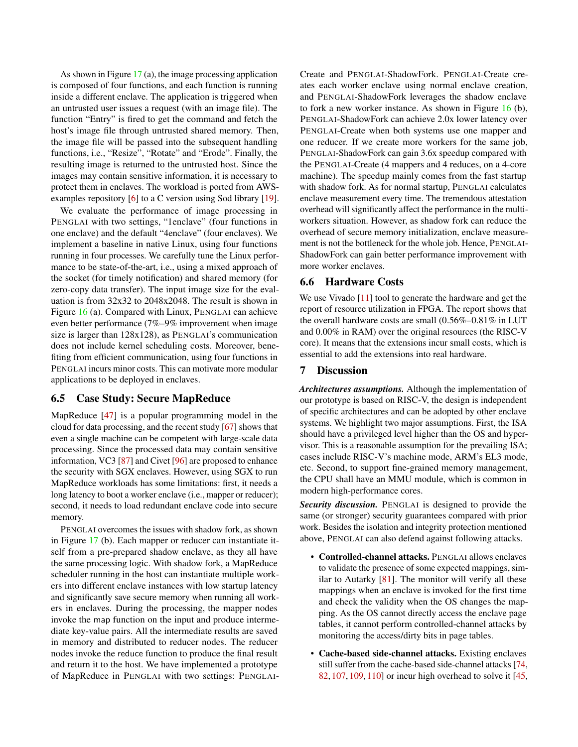As shown in Figure [17](#page-11-4) (a), the image processing application is composed of four functions, and each function is running inside a different enclave. The application is triggered when an untrusted user issues a request (with an image file). The function "Entry" is fired to get the command and fetch the host's image file through untrusted shared memory. Then, the image file will be passed into the subsequent handling functions, i.e., "Resize", "Rotate" and "Erode". Finally, the resulting image is returned to the untrusted host. Since the images may contain sensitive information, it is necessary to protect them in enclaves. The workload is ported from AWS-examples repository [\[6\]](#page-14-22) to a C version using Sod library [\[19\]](#page-14-24).

We evaluate the performance of image processing in PENGLAI with two settings, "1enclave" (four functions in one enclave) and the default "4enclave" (four enclaves). We implement a baseline in native Linux, using four functions running in four processes. We carefully tune the Linux performance to be state-of-the-art, i.e., using a mixed approach of the socket (for timely notification) and shared memory (for zero-copy data transfer). The input image size for the evaluation is from 32x32 to 2048x2048. The result is shown in Figure [16](#page-11-5) (a). Compared with Linux, PENGLAI can achieve even better performance (7%–9% improvement when image size is larger than 128x128), as PENGLAI's communication does not include kernel scheduling costs. Moreover, benefiting from efficient communication, using four functions in PENGLAI incurs minor costs. This can motivate more modular applications to be deployed in enclaves.

### 6.5 Case Study: Secure MapReduce

MapReduce [\[47\]](#page-15-13) is a popular programming model in the cloud for data processing, and the recent study [\[67\]](#page-17-15) shows that even a single machine can be competent with large-scale data processing. Since the processed data may contain sensitive information, VC3 [\[87\]](#page-17-2) and Civet [\[96\]](#page-18-0) are proposed to enhance the security with SGX enclaves. However, using SGX to run MapReduce workloads has some limitations: first, it needs a long latency to boot a worker enclave (i.e., mapper or reducer); second, it needs to load redundant enclave code into secure memory.

PENGLAI overcomes the issues with shadow fork, as shown in Figure [17](#page-11-4) (b). Each mapper or reducer can instantiate itself from a pre-prepared shadow enclave, as they all have the same processing logic. With shadow fork, a MapReduce scheduler running in the host can instantiate multiple workers into different enclave instances with low startup latency and significantly save secure memory when running all workers in enclaves. During the processing, the mapper nodes invoke the map function on the input and produce intermediate key-value pairs. All the intermediate results are saved in memory and distributed to reducer nodes. The reducer nodes invoke the reduce function to produce the final result and return it to the host. We have implemented a prototype of MapReduce in PENGLAI with two settings: PENGLAI- Create and PENGLAI-ShadowFork. PENGLAI-Create creates each worker enclave using normal enclave creation, and PENGLAI-ShadowFork leverages the shadow enclave to fork a new worker instance. As shown in Figure [16](#page-11-5) (b), PENGLAI-ShadowFork can achieve 2.0x lower latency over PENGLAI-Create when both systems use one mapper and one reducer. If we create more workers for the same job, PENGLAI-ShadowFork can gain 3.6x speedup compared with the PENGLAI-Create (4 mappers and 4 reduces, on a 4-core machine). The speedup mainly comes from the fast startup with shadow fork. As for normal startup, PENGLAI calculates enclave measurement every time. The tremendous attestation overhead will significantly affect the performance in the multiworkers situation. However, as shadow fork can reduce the overhead of secure memory initialization, enclave measurement is not the bottleneck for the whole job. Hence, PENGLAI-ShadowFork can gain better performance improvement with more worker enclaves.

#### 6.6 Hardware Costs

We use Vivado [\[11\]](#page-14-25) tool to generate the hardware and get the report of resource utilization in FPGA. The report shows that the overall hardware costs are small (0.56%–0.81% in LUT and 0.00% in RAM) over the original resources (the RISC-V core). It means that the extensions incur small costs, which is essential to add the extensions into real hardware.

### <span id="page-12-0"></span>7 Discussion

*Architectures assumptions.* Although the implementation of our prototype is based on RISC-V, the design is independent of specific architectures and can be adopted by other enclave systems. We highlight two major assumptions. First, the ISA should have a privileged level higher than the OS and hypervisor. This is a reasonable assumption for the prevailing ISA; cases include RISC-V's machine mode, ARM's EL3 mode, etc. Second, to support fine-grained memory management, the CPU shall have an MMU module, which is common in modern high-performance cores.

*Security discussion.* PENGLAI is designed to provide the same (or stronger) security guarantees compared with prior work. Besides the isolation and integrity protection mentioned above, PENGLAI can also defend against following attacks.

- Controlled-channel attacks. PENGLAI allows enclaves to validate the presence of some expected mappings, similar to Autarky [\[81\]](#page-17-9). The monitor will verify all these mappings when an enclave is invoked for the first time and check the validity when the OS changes the mapping. As the OS cannot directly access the enclave page tables, it cannot perform controlled-channel attacks by monitoring the access/dirty bits in page tables.
- Cache-based side-channel attacks. Existing enclaves still suffer from the cache-based side-channel attacks [\[74,](#page-17-10) [82,](#page-17-11) [107,](#page-19-0) [109,](#page-19-1) [110\]](#page-19-2) or incur high overhead to solve it [\[45,](#page-15-8)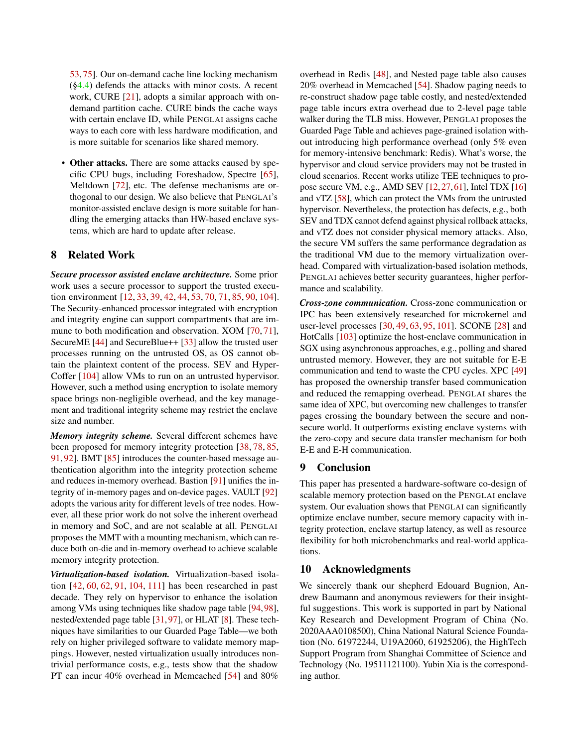[53,](#page-16-14) [75\]](#page-17-16). Our on-demand cache line locking mechanism  $(\S4.4)$  defends the attacks with minor costs. A recent work, CURE [\[21\]](#page-14-13), adopts a similar approach with ondemand partition cache. CURE binds the cache ways with certain enclave ID, while PENGLAI assigns cache ways to each core with less hardware modification, and is more suitable for scenarios like shared memory.

• Other attacks. There are some attacks caused by specific CPU bugs, including Foreshadow, Spectre [\[65\]](#page-16-15), Meltdown [\[72\]](#page-17-17), etc. The defense mechanisms are orthogonal to our design. We also believe that PENGLAI's monitor-assisted enclave design is more suitable for handling the emerging attacks than HW-based enclave systems, which are hard to update after release.

### 8 Related Work

*Secure processor assisted enclave architecture.* Some prior work uses a secure processor to support the trusted execution environment [\[12,](#page-14-1) [33,](#page-15-14) [39,](#page-15-10) [42,](#page-15-15) [44,](#page-15-16) [53,](#page-16-14) [70,](#page-17-18) [71,](#page-17-19) [85,](#page-17-8) [90,](#page-18-12) [104\]](#page-18-13). The Security-enhanced processor integrated with encryption and integrity engine can support compartments that are immune to both modification and observation. XOM [\[70,](#page-17-18) [71\]](#page-17-19), SecureME [\[44\]](#page-15-16) and SecureBlue++ [\[33\]](#page-15-14) allow the trusted user processes running on the untrusted OS, as OS cannot obtain the plaintext content of the process. SEV and Hyper-Coffer [\[104\]](#page-18-13) allow VMs to run on an untrusted hypervisor. However, such a method using encryption to isolate memory space brings non-negligible overhead, and the key management and traditional integrity scheme may restrict the enclave size and number.

*Memory integrity scheme.* Several different schemes have been proposed for memory integrity protection [\[38,](#page-15-9) [78,](#page-17-20) [85,](#page-17-8) [91,](#page-18-5) [92\]](#page-18-6). BMT [\[85\]](#page-17-8) introduces the counter-based message authentication algorithm into the integrity protection scheme and reduces in-memory overhead. Bastion [\[91\]](#page-18-5) unifies the integrity of in-memory pages and on-device pages. VAULT [\[92\]](#page-18-6) adopts the various arity for different levels of tree nodes. However, all these prior work do not solve the inherent overhead in memory and SoC, and are not scalable at all. PENGLAI proposes the MMT with a mounting mechanism, which can reduce both on-die and in-memory overhead to achieve scalable memory integrity protection.

*Virtualization-based isolation.* Virtualization-based isolation [\[42,](#page-15-15) [60,](#page-16-16) [62,](#page-16-17) [91,](#page-18-5) [104,](#page-18-13) [111\]](#page-19-6) has been researched in past decade. They rely on hypervisor to enhance the isolation among VMs using techniques like shadow page table [\[94,](#page-18-8)[98\]](#page-18-14), nested/extended page table [\[31,](#page-15-17) [97\]](#page-18-15), or HLAT [\[8\]](#page-14-26). These techniques have similarities to our Guarded Page Table—we both rely on higher privileged software to validate memory mappings. However, nested virtualization usually introduces nontrivial performance costs, e.g., tests show that the shadow PT can incur 40% overhead in Memcached [\[54\]](#page-16-13) and 80%

overhead in Redis [\[48\]](#page-16-12), and Nested page table also causes 20% overhead in Memcached [\[54\]](#page-16-13). Shadow paging needs to re-construct shadow page table costly, and nested/extended page table incurs extra overhead due to 2-level page table walker during the TLB miss. However, PENGLAI proposes the Guarded Page Table and achieves page-grained isolation without introducing high performance overhead (only 5% even for memory-intensive benchmark: Redis). What's worse, the hypervisor and cloud service providers may not be trusted in cloud scenarios. Recent works utilize TEE techniques to propose secure VM, e.g., AMD SEV [\[12,](#page-14-1)[27,](#page-14-10)[61\]](#page-16-6), Intel TDX [\[16\]](#page-14-12) and vTZ [\[58\]](#page-16-0), which can protect the VMs from the untrusted hypervisor. Nevertheless, the protection has defects, e.g., both SEV and TDX cannot defend against physical rollback attacks, and vTZ does not consider physical memory attacks. Also, the secure VM suffers the same performance degradation as the traditional VM due to the memory virtualization overhead. Compared with virtualization-based isolation methods, PENGLAI achieves better security guarantees, higher performance and scalability.

*Cross-zone communication.* Cross-zone communication or IPC has been extensively researched for microkernel and user-level processes [\[30,](#page-15-18) [49,](#page-16-11) [63,](#page-16-18) [95,](#page-18-16) [101\]](#page-18-17). SCONE [\[28\]](#page-14-2) and HotCalls [\[103\]](#page-18-18) optimize the host-enclave communication in SGX using asynchronous approaches, e.g., polling and shared untrusted memory. However, they are not suitable for E-E communication and tend to waste the CPU cycles. XPC [\[49\]](#page-16-11) has proposed the ownership transfer based communication and reduced the remapping overhead. PENGLAI shares the same idea of XPC, but overcoming new challenges to transfer pages crossing the boundary between the secure and nonsecure world. It outperforms existing enclave systems with the zero-copy and secure data transfer mechanism for both E-E and E-H communication.

## 9 Conclusion

This paper has presented a hardware-software co-design of scalable memory protection based on the PENGLAI enclave system. Our evaluation shows that PENGLAI can significantly optimize enclave number, secure memory capacity with integrity protection, enclave startup latency, as well as resource flexibility for both microbenchmarks and real-world applications.

#### 10 Acknowledgments

We sincerely thank our shepherd Edouard Bugnion, Andrew Baumann and anonymous reviewers for their insightful suggestions. This work is supported in part by National Key Research and Development Program of China (No. 2020AAA0108500), China National Natural Science Foundation (No. 61972244, U19A2060, 61925206), the HighTech Support Program from Shanghai Committee of Science and Technology (No. 19511121100). Yubin Xia is the corresponding author.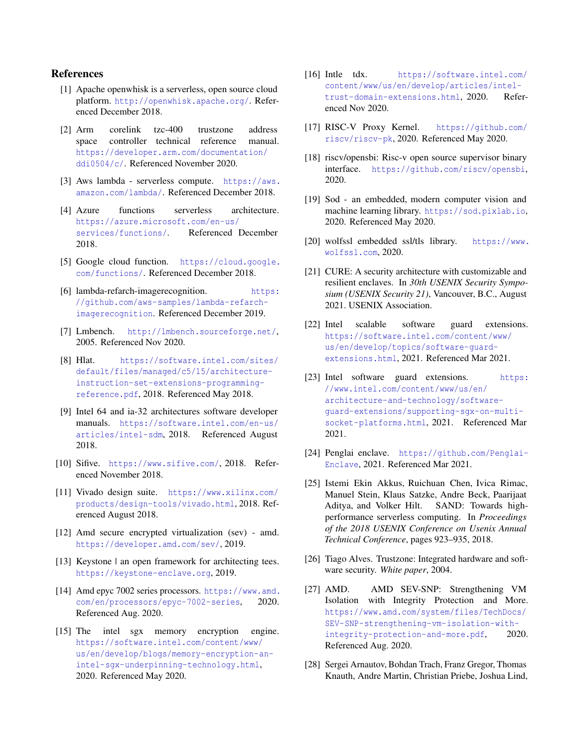# References

- <span id="page-14-3"></span>[1] Apache openwhisk is a serverless, open source cloud platform. <http://openwhisk.apache.org/>. Referenced December 2018.
- <span id="page-14-7"></span>[2] Arm corelink tzc-400 trustzone address space controller technical reference manual. [https://developer.arm.com/documentation/](https://developer.arm.com/documentation/ddi0504/c/) [ddi0504/c/](https://developer.arm.com/documentation/ddi0504/c/). Referenced November 2020.
- <span id="page-14-4"></span>[3] Aws lambda - serverless compute. [https://aws.](https://aws.amazon.com/lambda/) [amazon.com/lambda/](https://aws.amazon.com/lambda/). Referenced December 2018.
- [4] Azure functions serverless architecture. [https://azure.microsoft.com/en-us/](https://azure.microsoft.com/en-us/services/functions/) [services/functions/](https://azure.microsoft.com/en-us/services/functions/). Referenced December 2018.
- <span id="page-14-5"></span>[5] Google cloud function. [https://cloud.google.](https://cloud.google.com/functions/) [com/functions/](https://cloud.google.com/functions/). Referenced December 2018.
- <span id="page-14-22"></span>[6] lambda-refarch-imagerecognition. [https:](https://github.com/aws-samples/lambda-refarch-imagerecognition) [//github.com/aws-samples/lambda-refarch](https://github.com/aws-samples/lambda-refarch-imagerecognition)[imagerecognition](https://github.com/aws-samples/lambda-refarch-imagerecognition). Referenced December 2019.
- <span id="page-14-21"></span>[7] Lmbench. <http://lmbench.sourceforge.net/>, 2005. Referenced Nov 2020.
- <span id="page-14-26"></span>[8] Hlat. [https://software.intel.com/sites/](https://software.intel.com/sites/default/files/managed/c5/15/architecture-instruction-set-extensions-programming-reference.pdf ) [default/files/managed/c5/15/architecture](https://software.intel.com/sites/default/files/managed/c5/15/architecture-instruction-set-extensions-programming-reference.pdf )[instruction-set-extensions-programming](https://software.intel.com/sites/default/files/managed/c5/15/architecture-instruction-set-extensions-programming-reference.pdf )[reference.pdf](https://software.intel.com/sites/default/files/managed/c5/15/architecture-instruction-set-extensions-programming-reference.pdf ), 2018. Referenced May 2018.
- <span id="page-14-16"></span>[9] Intel 64 and ia-32 architectures software developer manuals. [https://software.intel.com/en-us/](https://software.intel.com/en-us/articles/intel-sdm) [articles/intel-sdm](https://software.intel.com/en-us/articles/intel-sdm), 2018. Referenced August 2018.
- <span id="page-14-17"></span>[10] Sifive. <https://www.sifive.com/>, 2018. Referenced November 2018.
- <span id="page-14-25"></span>[11] Vivado design suite. [https://www.xilinx.com/](https://www.xilinx.com/products/design-tools/vivado.html) [products/design-tools/vivado.html](https://www.xilinx.com/products/design-tools/vivado.html), 2018. Referenced August 2018.
- <span id="page-14-1"></span>[12] Amd secure encrypted virtualization (sev) - amd. <https://developer.amd.com/sev/>, 2019.
- <span id="page-14-8"></span>[13] Keystone | an open framework for architecting tees. <https://keystone-enclave.org>, 2019.
- <span id="page-14-11"></span>[14] Amd epyc 7002 series processors. [https://www.amd.](https://www.amd.com/en/processors/epyc-7002-series) [com/en/processors/epyc-7002-series](https://www.amd.com/en/processors/epyc-7002-series), 2020. Referenced Aug. 2020.
- <span id="page-14-6"></span>[15] The intel sgx memory encryption engine. [https://software.intel.com/content/www/](https://software.intel.com/content/www/us/en/develop/blogs/memory-encryption-an-intel-sgx-underpinning-technology.html) [us/en/develop/blogs/memory-encryption-an](https://software.intel.com/content/www/us/en/develop/blogs/memory-encryption-an-intel-sgx-underpinning-technology.html)[intel-sgx-underpinning-technology.html](https://software.intel.com/content/www/us/en/develop/blogs/memory-encryption-an-intel-sgx-underpinning-technology.html), 2020. Referenced May 2020.
- <span id="page-14-12"></span>[16] Intle tdx. [https://software.intel.com/](https://software.intel.com/content/www/us/en/develop/articles/intel-trust-domain-extensions.html) [content/www/us/en/develop/articles/intel](https://software.intel.com/content/www/us/en/develop/articles/intel-trust-domain-extensions.html)[trust-domain-extensions.html](https://software.intel.com/content/www/us/en/develop/articles/intel-trust-domain-extensions.html), 2020. Referenced Nov 2020.
- <span id="page-14-19"></span>[17] RISC-V Proxy Kernel. [https://github.com/](https://github.com/riscv/riscv-pk) [riscv/riscv-pk](https://github.com/riscv/riscv-pk), 2020. Referenced May 2020.
- <span id="page-14-18"></span>[18] riscv/opensbi: Risc-v open source supervisor binary interface. <https://github.com/riscv/opensbi>, 2020.
- <span id="page-14-24"></span>[19] Sod - an embedded, modern computer vision and machine learning library. <https://sod.pixlab.io>, 2020. Referenced May 2020.
- <span id="page-14-20"></span>[20] wolfssl embedded ssl/tls library. [https://www.](https://www.wolfssl.com) [wolfssl.com](https://www.wolfssl.com), 2020.
- <span id="page-14-13"></span>[21] CURE: A security architecture with customizable and resilient enclaves. In *30th USENIX Security Symposium (USENIX Security 21)*, Vancouver, B.C., August 2021. USENIX Association.
- <span id="page-14-9"></span>[22] Intel scalable software guard extensions. [https://software.intel.com/content/www/](https://software.intel.com/content/www/us/en/develop/topics/software-guard-extensions.html) [us/en/develop/topics/software-guard](https://software.intel.com/content/www/us/en/develop/topics/software-guard-extensions.html)[extensions.html](https://software.intel.com/content/www/us/en/develop/topics/software-guard-extensions.html), 2021. Referenced Mar 2021.
- <span id="page-14-15"></span>[23] Intel software guard extensions. [https:](https://www.intel.com/content/www/us/en/architecture-and-technology/software-guard-extensions/supporting-sgx-on-multi-socket-platforms.html) [//www.intel.com/content/www/us/en/](https://www.intel.com/content/www/us/en/architecture-and-technology/software-guard-extensions/supporting-sgx-on-multi-socket-platforms.html) [architecture-and-technology/software](https://www.intel.com/content/www/us/en/architecture-and-technology/software-guard-extensions/supporting-sgx-on-multi-socket-platforms.html)[guard-extensions/supporting-sgx-on-multi](https://www.intel.com/content/www/us/en/architecture-and-technology/software-guard-extensions/supporting-sgx-on-multi-socket-platforms.html)[socket-platforms.html](https://www.intel.com/content/www/us/en/architecture-and-technology/software-guard-extensions/supporting-sgx-on-multi-socket-platforms.html), 2021. Referenced Mar 2021.
- <span id="page-14-0"></span>[24] Penglai enclave. [https://github.com/Penglai-](https://github.com/Penglai-Enclave)[Enclave](https://github.com/Penglai-Enclave), 2021. Referenced Mar 2021.
- <span id="page-14-23"></span>[25] Istemi Ekin Akkus, Ruichuan Chen, Ivica Rimac, Manuel Stein, Klaus Satzke, Andre Beck, Paarijaat Aditya, and Volker Hilt. SAND: Towards highperformance serverless computing. In *Proceedings of the 2018 USENIX Conference on Usenix Annual Technical Conference*, pages 923–935, 2018.
- <span id="page-14-14"></span>[26] Tiago Alves. Trustzone: Integrated hardware and software security. *White paper*, 2004.
- <span id="page-14-10"></span>[27] AMD. AMD SEV-SNP: Strengthening VM Isolation with Integrity Protection and More. [https://www.amd.com/system/files/TechDocs/](https://www.amd.com/system/files/TechDocs/SEV-SNP-strengthening-vm-isolation-with-integrity-protection-and-more.pdf) [SEV-SNP-strengthening-vm-isolation-with](https://www.amd.com/system/files/TechDocs/SEV-SNP-strengthening-vm-isolation-with-integrity-protection-and-more.pdf)[integrity-protection-and-more.pdf](https://www.amd.com/system/files/TechDocs/SEV-SNP-strengthening-vm-isolation-with-integrity-protection-and-more.pdf), 2020. Referenced Aug. 2020.
- <span id="page-14-2"></span>[28] Sergei Arnautov, Bohdan Trach, Franz Gregor, Thomas Knauth, Andre Martin, Christian Priebe, Joshua Lind,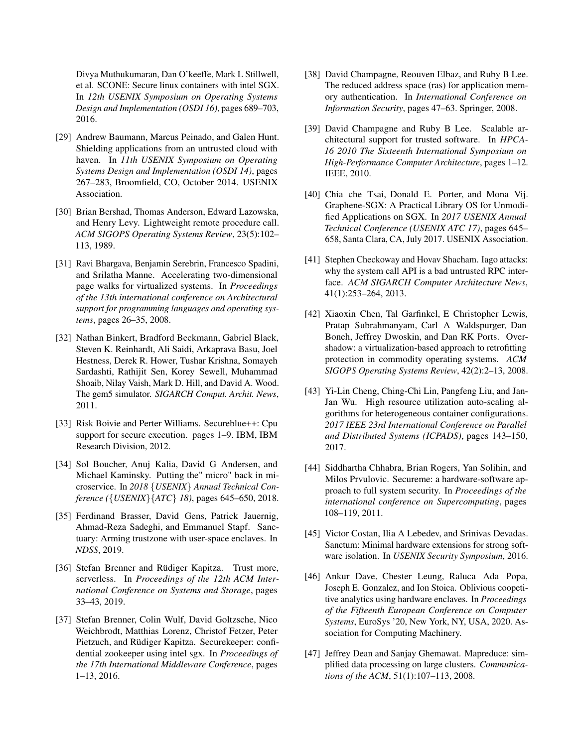Divya Muthukumaran, Dan O'keeffe, Mark L Stillwell, et al. SCONE: Secure linux containers with intel SGX. In *12th USENIX Symposium on Operating Systems Design and Implementation (OSDI 16)*, pages 689–703, 2016.

- <span id="page-15-0"></span>[29] Andrew Baumann, Marcus Peinado, and Galen Hunt. Shielding applications from an untrusted cloud with haven. In *11th USENIX Symposium on Operating Systems Design and Implementation (OSDI 14)*, pages 267–283, Broomfield, CO, October 2014. USENIX Association.
- <span id="page-15-18"></span>[30] Brian Bershad, Thomas Anderson, Edward Lazowska, and Henry Levy. Lightweight remote procedure call. *ACM SIGOPS Operating Systems Review*, 23(5):102– 113, 1989.
- <span id="page-15-17"></span>[31] Ravi Bhargava, Benjamin Serebrin, Francesco Spadini, and Srilatha Manne. Accelerating two-dimensional page walks for virtualized systems. In *Proceedings of the 13th international conference on Architectural support for programming languages and operating systems*, pages 26–35, 2008.
- <span id="page-15-12"></span>[32] Nathan Binkert, Bradford Beckmann, Gabriel Black, Steven K. Reinhardt, Ali Saidi, Arkaprava Basu, Joel Hestness, Derek R. Hower, Tushar Krishna, Somayeh Sardashti, Rathijit Sen, Korey Sewell, Muhammad Shoaib, Nilay Vaish, Mark D. Hill, and David A. Wood. The gem5 simulator. *SIGARCH Comput. Archit. News*, 2011.
- <span id="page-15-14"></span>[33] Risk Boivie and Perter Williams. Secureblue++: Cpu support for secure execution. pages 1–9. IBM, IBM Research Division, 2012.
- <span id="page-15-6"></span>[34] Sol Boucher, Anuj Kalia, David G Andersen, and Michael Kaminsky. Putting the" micro" back in microservice. In *2018* {*USENIX*} *Annual Technical Conference (*{*USENIX*}{*ATC*} *18)*, pages 645–650, 2018.
- <span id="page-15-7"></span>[35] Ferdinand Brasser, David Gens, Patrick Jauernig, Ahmad-Reza Sadeghi, and Emmanuel Stapf. Sanctuary: Arming trustzone with user-space enclaves. In *NDSS*, 2019.
- <span id="page-15-4"></span>[36] Stefan Brenner and Rüdiger Kapitza. Trust more, serverless. In *Proceedings of the 12th ACM International Conference on Systems and Storage*, pages 33–43, 2019.
- <span id="page-15-1"></span>[37] Stefan Brenner, Colin Wulf, David Goltzsche, Nico Weichbrodt, Matthias Lorenz, Christof Fetzer, Peter Pietzuch, and Rüdiger Kapitza. Securekeeper: confidential zookeeper using intel sgx. In *Proceedings of the 17th International Middleware Conference*, pages 1–13, 2016.
- <span id="page-15-9"></span>[38] David Champagne, Reouven Elbaz, and Ruby B Lee. The reduced address space (ras) for application memory authentication. In *International Conference on Information Security*, pages 47–63. Springer, 2008.
- <span id="page-15-10"></span>[39] David Champagne and Ruby B Lee. Scalable architectural support for trusted software. In *HPCA-16 2010 The Sixteenth International Symposium on High-Performance Computer Architecture*, pages 1–12. IEEE, 2010.
- <span id="page-15-2"></span>[40] Chia che Tsai, Donald E. Porter, and Mona Vij. Graphene-SGX: A Practical Library OS for Unmodified Applications on SGX. In *2017 USENIX Annual Technical Conference (USENIX ATC 17)*, pages 645– 658, Santa Clara, CA, July 2017. USENIX Association.
- <span id="page-15-11"></span>[41] Stephen Checkoway and Hovav Shacham. Iago attacks: why the system call API is a bad untrusted RPC interface. *ACM SIGARCH Computer Architecture News*, 41(1):253–264, 2013.
- <span id="page-15-15"></span>[42] Xiaoxin Chen, Tal Garfinkel, E Christopher Lewis, Pratap Subrahmanyam, Carl A Waldspurger, Dan Boneh, Jeffrey Dwoskin, and Dan RK Ports. Overshadow: a virtualization-based approach to retrofitting protection in commodity operating systems. *ACM SIGOPS Operating Systems Review*, 42(2):2–13, 2008.
- <span id="page-15-5"></span>[43] Yi-Lin Cheng, Ching-Chi Lin, Pangfeng Liu, and Jan-Jan Wu. High resource utilization auto-scaling algorithms for heterogeneous container configurations. *2017 IEEE 23rd International Conference on Parallel and Distributed Systems (ICPADS)*, pages 143–150, 2017.
- <span id="page-15-16"></span>[44] Siddhartha Chhabra, Brian Rogers, Yan Solihin, and Milos Prvulovic. Secureme: a hardware-software approach to full system security. In *Proceedings of the international conference on Supercomputing*, pages 108–119, 2011.
- <span id="page-15-8"></span>[45] Victor Costan, Ilia A Lebedev, and Srinivas Devadas. Sanctum: Minimal hardware extensions for strong software isolation. In *USENIX Security Symposium*, 2016.
- <span id="page-15-3"></span>[46] Ankur Dave, Chester Leung, Raluca Ada Popa, Joseph E. Gonzalez, and Ion Stoica. Oblivious coopetitive analytics using hardware enclaves. In *Proceedings of the Fifteenth European Conference on Computer Systems*, EuroSys '20, New York, NY, USA, 2020. Association for Computing Machinery.
- <span id="page-15-13"></span>[47] Jeffrey Dean and Sanjay Ghemawat. Mapreduce: simplified data processing on large clusters. *Communications of the ACM*, 51(1):107–113, 2008.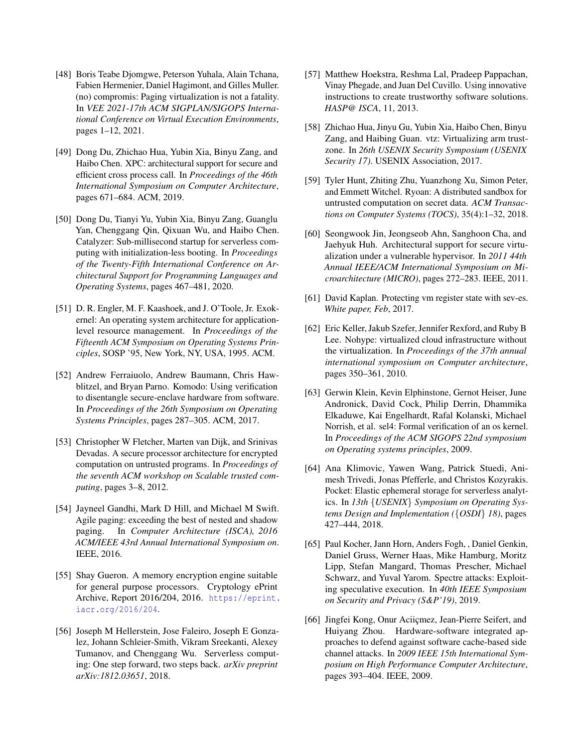- <span id="page-16-12"></span>[48] Boris Teabe Diomgwe, Peterson Yuhala, Alain Tchana, Fabien Hermenier, Daniel Hagimont, and Gilles Muller. (no) compromis: Paging virtualization is not a fatality. In *VEE 2021-17th ACM SIGPLAN/SIGOPS International Conference on Virtual Execution Environments*, pages 1–12, 2021.
- <span id="page-16-11"></span>[49] Dong Du, Zhichao Hua, Yubin Xia, Binyu Zang, and Haibo Chen. XPC: architectural support for secure and efficient cross process call. In *Proceedings of the 46th International Symposium on Computer Architecture*, pages 671–684. ACM, 2019.
- <span id="page-16-4"></span>[50] Dong Du, Tianyi Yu, Yubin Xia, Binyu Zang, Guanglu Yan, Chenggang Qin, Qixuan Wu, and Haibo Chen. Catalyzer: Sub-millisecond startup for serverless computing with initialization-less booting. In *Proceedings of the Twenty-Fifth International Conference on Architectural Support for Programming Languages and Operating Systems*, pages 467–481, 2020.
- <span id="page-16-8"></span>[51] D. R. Engler, M. F. Kaashoek, and J. O'Toole, Jr. Exokernel: An operating system architecture for applicationlevel resource management. In *Proceedings of the Fifteenth ACM Symposium on Operating Systems Principles*, SOSP '95, New York, NY, USA, 1995. ACM.
- <span id="page-16-7"></span>[52] Andrew Ferraiuolo, Andrew Baumann, Chris Hawblitzel, and Bryan Parno. Komodo: Using verification to disentangle secure-enclave hardware from software. In *Proceedings of the 26th Symposium on Operating Systems Principles*, pages 287–305. ACM, 2017.
- <span id="page-16-14"></span>[53] Christopher W Fletcher, Marten van Dijk, and Srinivas Devadas. A secure processor architecture for encrypted computation on untrusted programs. In *Proceedings of the seventh ACM workshop on Scalable trusted computing*, pages 3–8, 2012.
- <span id="page-16-13"></span>[54] Jayneel Gandhi, Mark D Hill, and Michael M Swift. Agile paging: exceeding the best of nested and shadow paging. In *Computer Architecture (ISCA), 2016 ACM/IEEE 43rd Annual International Symposium on*. IEEE, 2016.
- <span id="page-16-9"></span>[55] Shay Gueron. A memory encryption engine suitable for general purpose processors. Cryptology ePrint Archive, Report 2016/204, 2016. [https://eprint.](https://eprint.iacr.org/2016/204) [iacr.org/2016/204](https://eprint.iacr.org/2016/204).
- <span id="page-16-2"></span>[56] Joseph M Hellerstein, Jose Faleiro, Joseph E Gonzalez, Johann Schleier-Smith, Vikram Sreekanti, Alexey Tumanov, and Chenggang Wu. Serverless computing: One step forward, two steps back. *arXiv preprint arXiv:1812.03651*, 2018.
- <span id="page-16-5"></span>[57] Matthew Hoekstra, Reshma Lal, Pradeep Pappachan, Vinay Phegade, and Juan Del Cuvillo. Using innovative instructions to create trustworthy software solutions. *HASP@ ISCA*, 11, 2013.
- <span id="page-16-0"></span>[58] Zhichao Hua, Jinyu Gu, Yubin Xia, Haibo Chen, Binyu Zang, and Haibing Guan. vtz: Virtualizing arm trustzone. In *26th USENIX Security Symposium (USENIX Security 17)*. USENIX Association, 2017.
- <span id="page-16-1"></span>[59] Tyler Hunt, Zhiting Zhu, Yuanzhong Xu, Simon Peter, and Emmett Witchel. Ryoan: A distributed sandbox for untrusted computation on secret data. *ACM Transactions on Computer Systems (TOCS)*, 35(4):1–32, 2018.
- <span id="page-16-16"></span>[60] Seongwook Jin, Jeongseob Ahn, Sanghoon Cha, and Jaehyuk Huh. Architectural support for secure virtualization under a vulnerable hypervisor. In *2011 44th Annual IEEE/ACM International Symposium on Microarchitecture (MICRO)*, pages 272–283. IEEE, 2011.
- <span id="page-16-6"></span>[61] David Kaplan. Protecting vm register state with sev-es. *White paper, Feb*, 2017.
- <span id="page-16-17"></span>[62] Eric Keller, Jakub Szefer, Jennifer Rexford, and Ruby B Lee. Nohype: virtualized cloud infrastructure without the virtualization. In *Proceedings of the 37th annual international symposium on Computer architecture*, pages 350–361, 2010.
- <span id="page-16-18"></span>[63] Gerwin Klein, Kevin Elphinstone, Gernot Heiser, June Andronick, David Cock, Philip Derrin, Dhammika Elkaduwe, Kai Engelhardt, Rafal Kolanski, Michael Norrish, et al. sel4: Formal verification of an os kernel. In *Proceedings of the ACM SIGOPS 22nd symposium on Operating systems principles*, 2009.
- <span id="page-16-3"></span>[64] Ana Klimovic, Yawen Wang, Patrick Stuedi, Animesh Trivedi, Jonas Pfefferle, and Christos Kozyrakis. Pocket: Elastic ephemeral storage for serverless analytics. In *13th* {*USENIX*} *Symposium on Operating Systems Design and Implementation (*{*OSDI*} *18)*, pages 427–444, 2018.
- <span id="page-16-15"></span>[65] Paul Kocher, Jann Horn, Anders Fogh, , Daniel Genkin, Daniel Gruss, Werner Haas, Mike Hamburg, Moritz Lipp, Stefan Mangard, Thomas Prescher, Michael Schwarz, and Yuval Yarom. Spectre attacks: Exploiting speculative execution. In *40th IEEE Symposium on Security and Privacy (S&P'19)*, 2019.
- <span id="page-16-10"></span>[66] Jingfei Kong, Onur Aciiçmez, Jean-Pierre Seifert, and Huiyang Zhou. Hardware-software integrated approaches to defend against software cache-based side channel attacks. In *2009 IEEE 15th International Symposium on High Performance Computer Architecture*, pages 393–404. IEEE, 2009.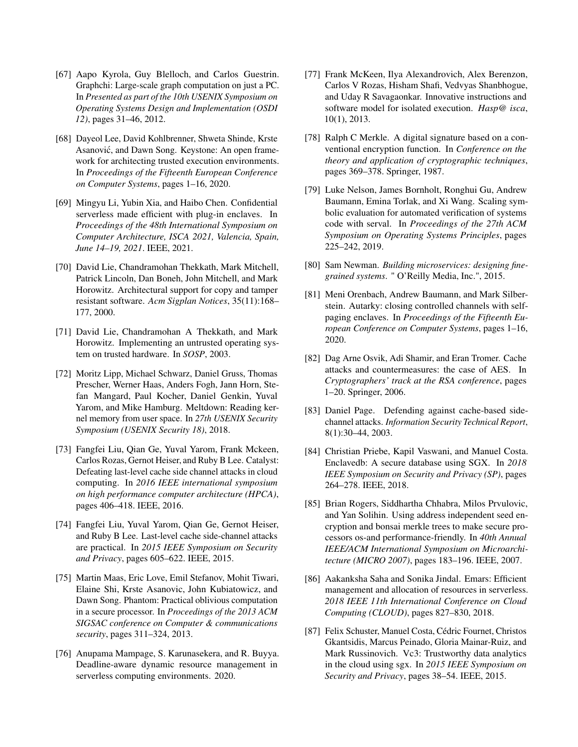- <span id="page-17-15"></span>[67] Aapo Kyrola, Guy Blelloch, and Carlos Guestrin. Graphchi: Large-scale graph computation on just a PC. In *Presented as part of the 10th USENIX Symposium on Operating Systems Design and Implementation (OSDI 12)*, pages 31–46, 2012.
- <span id="page-17-6"></span>[68] Dayeol Lee, David Kohlbrenner, Shweta Shinde, Krste Asanović, and Dawn Song. Keystone: An open framework for architecting trusted execution environments. In *Proceedings of the Fifteenth European Conference on Computer Systems*, pages 1–16, 2020.
- <span id="page-17-7"></span>[69] Mingyu Li, Yubin Xia, and Haibo Chen. Confidential serverless made efficient with plug-in enclaves. In *Proceedings of the 48th International Symposium on Computer Architecture, ISCA 2021, Valencia, Spain, June 14–19, 2021*. IEEE, 2021.
- <span id="page-17-18"></span>[70] David Lie, Chandramohan Thekkath, Mark Mitchell, Patrick Lincoln, Dan Boneh, John Mitchell, and Mark Horowitz. Architectural support for copy and tamper resistant software. *Acm Sigplan Notices*, 35(11):168– 177, 2000.
- <span id="page-17-19"></span>[71] David Lie, Chandramohan A Thekkath, and Mark Horowitz. Implementing an untrusted operating system on trusted hardware. In *SOSP*, 2003.
- <span id="page-17-17"></span>[72] Moritz Lipp, Michael Schwarz, Daniel Gruss, Thomas Prescher, Werner Haas, Anders Fogh, Jann Horn, Stefan Mangard, Paul Kocher, Daniel Genkin, Yuval Yarom, and Mike Hamburg. Meltdown: Reading kernel memory from user space. In *27th USENIX Security Symposium (USENIX Security 18)*, 2018.
- <span id="page-17-12"></span>[73] Fangfei Liu, Qian Ge, Yuval Yarom, Frank Mckeen, Carlos Rozas, Gernot Heiser, and Ruby B Lee. Catalyst: Defeating last-level cache side channel attacks in cloud computing. In *2016 IEEE international symposium on high performance computer architecture (HPCA)*, pages 406–418. IEEE, 2016.
- <span id="page-17-10"></span>[74] Fangfei Liu, Yuval Yarom, Qian Ge, Gernot Heiser, and Ruby B Lee. Last-level cache side-channel attacks are practical. In *2015 IEEE Symposium on Security and Privacy*, pages 605–622. IEEE, 2015.
- <span id="page-17-16"></span>[75] Martin Maas, Eric Love, Emil Stefanov, Mohit Tiwari, Elaine Shi, Krste Asanovic, John Kubiatowicz, and Dawn Song. Phantom: Practical oblivious computation in a secure processor. In *Proceedings of the 2013 ACM SIGSAC conference on Computer & communications security*, pages 311–324, 2013.
- <span id="page-17-5"></span>[76] Anupama Mampage, S. Karunasekera, and R. Buyya. Deadline-aware dynamic resource management in serverless computing environments. 2020.
- <span id="page-17-0"></span>[77] Frank McKeen, Ilya Alexandrovich, Alex Berenzon, Carlos V Rozas, Hisham Shafi, Vedvyas Shanbhogue, and Uday R Savagaonkar. Innovative instructions and software model for isolated execution. *Hasp@ isca*, 10(1), 2013.
- <span id="page-17-20"></span>[78] Ralph C Merkle. A digital signature based on a conventional encryption function. In *Conference on the theory and application of cryptographic techniques*, pages 369–378. Springer, 1987.
- <span id="page-17-14"></span>[79] Luke Nelson, James Bornholt, Ronghui Gu, Andrew Baumann, Emina Torlak, and Xi Wang. Scaling symbolic evaluation for automated verification of systems code with serval. In *Proceedings of the 27th ACM Symposium on Operating Systems Principles*, pages 225–242, 2019.
- <span id="page-17-3"></span>[80] Sam Newman. *Building microservices: designing finegrained systems*. " O'Reilly Media, Inc.", 2015.
- <span id="page-17-9"></span>[81] Meni Orenbach, Andrew Baumann, and Mark Silberstein. Autarky: closing controlled channels with selfpaging enclaves. In *Proceedings of the Fifteenth European Conference on Computer Systems*, pages 1–16, 2020.
- <span id="page-17-11"></span>[82] Dag Arne Osvik, Adi Shamir, and Eran Tromer. Cache attacks and countermeasures: the case of AES. In *Cryptographers' track at the RSA conference*, pages 1–20. Springer, 2006.
- <span id="page-17-13"></span>[83] Daniel Page. Defending against cache-based sidechannel attacks. *Information Security Technical Report*, 8(1):30–44, 2003.
- <span id="page-17-1"></span>[84] Christian Priebe, Kapil Vaswani, and Manuel Costa. Enclavedb: A secure database using SGX. In *2018 IEEE Symposium on Security and Privacy (SP)*, pages 264–278. IEEE, 2018.
- <span id="page-17-8"></span>[85] Brian Rogers, Siddhartha Chhabra, Milos Prvulovic, and Yan Solihin. Using address independent seed encryption and bonsai merkle trees to make secure processors os-and performance-friendly. In *40th Annual IEEE/ACM International Symposium on Microarchitecture (MICRO 2007)*, pages 183–196. IEEE, 2007.
- <span id="page-17-4"></span>[86] Aakanksha Saha and Sonika Jindal. Emars: Efficient management and allocation of resources in serverless. *2018 IEEE 11th International Conference on Cloud Computing (CLOUD)*, pages 827–830, 2018.
- <span id="page-17-2"></span>[87] Felix Schuster, Manuel Costa, Cédric Fournet, Christos Gkantsidis, Marcus Peinado, Gloria Mainar-Ruiz, and Mark Russinovich. Vc3: Trustworthy data analytics in the cloud using sgx. In *2015 IEEE Symposium on Security and Privacy*, pages 38–54. IEEE, 2015.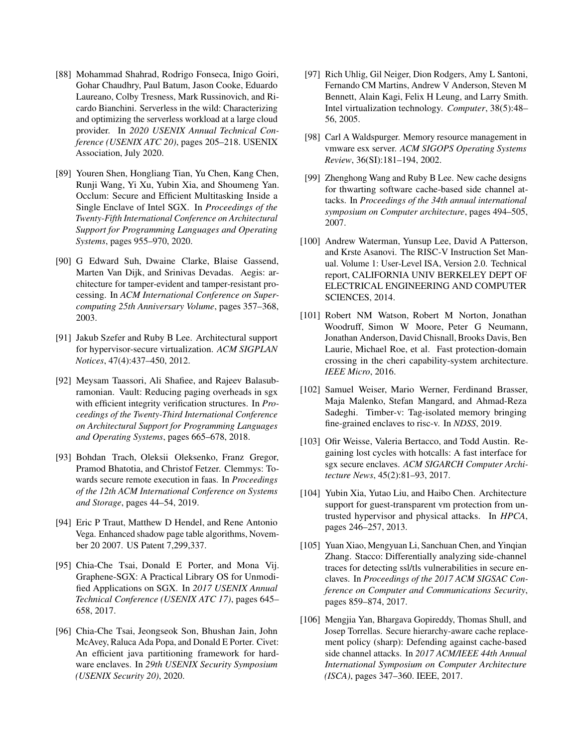- <span id="page-18-2"></span>[88] Mohammad Shahrad, Rodrigo Fonseca, Inigo Goiri, Gohar Chaudhry, Paul Batum, Jason Cooke, Eduardo Laureano, Colby Tresness, Mark Russinovich, and Ricardo Bianchini. Serverless in the wild: Characterizing and optimizing the serverless workload at a large cloud provider. In *2020 USENIX Annual Technical Conference (USENIX ATC 20)*, pages 205–218. USENIX Association, July 2020.
- <span id="page-18-7"></span>[89] Youren Shen, Hongliang Tian, Yu Chen, Kang Chen, Runji Wang, Yi Xu, Yubin Xia, and Shoumeng Yan. Occlum: Secure and Efficient Multitasking Inside a Single Enclave of Intel SGX. In *Proceedings of the Twenty-Fifth International Conference on Architectural Support for Programming Languages and Operating Systems*, pages 955–970, 2020.
- <span id="page-18-12"></span>[90] G Edward Suh, Dwaine Clarke, Blaise Gassend, Marten Van Dijk, and Srinivas Devadas. Aegis: architecture for tamper-evident and tamper-resistant processing. In *ACM International Conference on Supercomputing 25th Anniversary Volume*, pages 357–368, 2003.
- <span id="page-18-5"></span>[91] Jakub Szefer and Ruby B Lee. Architectural support for hypervisor-secure virtualization. *ACM SIGPLAN Notices*, 47(4):437–450, 2012.
- <span id="page-18-6"></span>[92] Meysam Taassori, Ali Shafiee, and Rajeev Balasubramonian. Vault: Reducing paging overheads in sgx with efficient integrity verification structures. In *Proceedings of the Twenty-Third International Conference on Architectural Support for Programming Languages and Operating Systems*, pages 665–678, 2018.
- <span id="page-18-1"></span>[93] Bohdan Trach, Oleksii Oleksenko, Franz Gregor, Pramod Bhatotia, and Christof Fetzer. Clemmys: Towards secure remote execution in faas. In *Proceedings of the 12th ACM International Conference on Systems and Storage*, pages 44–54, 2019.
- <span id="page-18-8"></span>[94] Eric P Traut, Matthew D Hendel, and Rene Antonio Vega. Enhanced shadow page table algorithms, November 20 2007. US Patent 7,299,337.
- <span id="page-18-16"></span>[95] Chia-Che Tsai, Donald E Porter, and Mona Vij. Graphene-SGX: A Practical Library OS for Unmodified Applications on SGX. In *2017 USENIX Annual Technical Conference (USENIX ATC 17)*, pages 645– 658, 2017.
- <span id="page-18-0"></span>[96] Chia-Che Tsai, Jeongseok Son, Bhushan Jain, John McAvey, Raluca Ada Popa, and Donald E Porter. Civet: An efficient java partitioning framework for hardware enclaves. In *29th USENIX Security Symposium (USENIX Security 20)*, 2020.
- <span id="page-18-15"></span>[97] Rich Uhlig, Gil Neiger, Dion Rodgers, Amy L Santoni, Fernando CM Martins, Andrew V Anderson, Steven M Bennett, Alain Kagi, Felix H Leung, and Larry Smith. Intel virtualization technology. *Computer*, 38(5):48– 56, 2005.
- <span id="page-18-14"></span>[98] Carl A Waldspurger. Memory resource management in vmware esx server. *ACM SIGOPS Operating Systems Review*, 36(SI):181–194, 2002.
- <span id="page-18-9"></span>[99] Zhenghong Wang and Ruby B Lee. New cache designs for thwarting software cache-based side channel attacks. In *Proceedings of the 34th annual international symposium on Computer architecture*, pages 494–505, 2007.
- <span id="page-18-3"></span>[100] Andrew Waterman, Yunsup Lee, David A Patterson, and Krste Asanovi. The RISC-V Instruction Set Manual. Volume 1: User-Level ISA, Version 2.0. Technical report, CALIFORNIA UNIV BERKELEY DEPT OF ELECTRICAL ENGINEERING AND COMPUTER SCIENCES, 2014.
- <span id="page-18-17"></span>[101] Robert NM Watson, Robert M Norton, Jonathan Woodruff, Simon W Moore, Peter G Neumann, Jonathan Anderson, David Chisnall, Brooks Davis, Ben Laurie, Michael Roe, et al. Fast protection-domain crossing in the cheri capability-system architecture. *IEEE Micro*, 2016.
- <span id="page-18-4"></span>[102] Samuel Weiser, Mario Werner, Ferdinand Brasser, Maja Malenko, Stefan Mangard, and Ahmad-Reza Sadeghi. Timber-v: Tag-isolated memory bringing fine-grained enclaves to risc-v. In *NDSS*, 2019.
- <span id="page-18-18"></span>[103] Ofir Weisse, Valeria Bertacco, and Todd Austin. Regaining lost cycles with hotcalls: A fast interface for sgx secure enclaves. *ACM SIGARCH Computer Architecture News*, 45(2):81–93, 2017.
- <span id="page-18-13"></span>[104] Yubin Xia, Yutao Liu, and Haibo Chen. Architecture support for guest-transparent vm protection from untrusted hypervisor and physical attacks. In *HPCA*, pages 246–257, 2013.
- <span id="page-18-11"></span>[105] Yuan Xiao, Mengyuan Li, Sanchuan Chen, and Yinqian Zhang. Stacco: Differentially analyzing side-channel traces for detecting ssl/tls vulnerabilities in secure enclaves. In *Proceedings of the 2017 ACM SIGSAC Conference on Computer and Communications Security*, pages 859–874, 2017.
- <span id="page-18-10"></span>[106] Mengjia Yan, Bhargava Gopireddy, Thomas Shull, and Josep Torrellas. Secure hierarchy-aware cache replacement policy (sharp): Defending against cache-based side channel attacks. In *2017 ACM/IEEE 44th Annual International Symposium on Computer Architecture (ISCA)*, pages 347–360. IEEE, 2017.